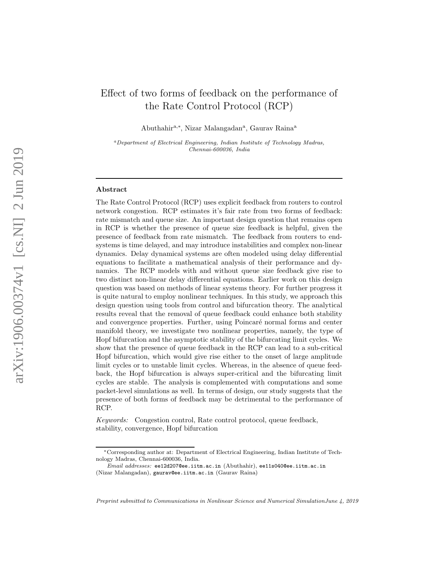# Effect of two forms of feedback on the performance of the Rate Control Protocol (RCP)

Abuthahir<sup>a,∗</sup>, Nizar Malangadan<sup>a</sup>, Gaurav Raina<sup>a</sup>

<sup>a</sup>Department of Electrical Engineering, Indian Institute of Technology Madras, Chennai-600036, India

#### Abstract

The Rate Control Protocol (RCP) uses explicit feedback from routers to control network congestion. RCP estimates it's fair rate from two forms of feedback: rate mismatch and queue size. An important design question that remains open in RCP is whether the presence of queue size feedback is helpful, given the presence of feedback from rate mismatch. The feedback from routers to endsystems is time delayed, and may introduce instabilities and complex non-linear dynamics. Delay dynamical systems are often modeled using delay differential equations to facilitate a mathematical analysis of their performance and dynamics. The RCP models with and without queue size feedback give rise to two distinct non-linear delay differential equations. Earlier work on this design question was based on methods of linear systems theory. For further progress it is quite natural to employ nonlinear techniques. In this study, we approach this design question using tools from control and bifurcation theory. The analytical results reveal that the removal of queue feedback could enhance both stability and convergence properties. Further, using Poincaré normal forms and center manifold theory, we investigate two nonlinear properties, namely, the type of Hopf bifurcation and the asymptotic stability of the bifurcating limit cycles. We show that the presence of queue feedback in the RCP can lead to a sub-critical Hopf bifurcation, which would give rise either to the onset of large amplitude limit cycles or to unstable limit cycles. Whereas, in the absence of queue feedback, the Hopf bifurcation is always super-critical and the bifurcating limit cycles are stable. The analysis is complemented with computations and some packet-level simulations as well. In terms of design, our study suggests that the presence of both forms of feedback may be detrimental to the performance of RCP.

*Keywords:* Congestion control, Rate control protocol, queue feedback, stability, convergence, Hopf bifurcation

Preprint submitted to Communications in Nonlinear Science and Numerical SimulationJune 4, 2019

<sup>∗</sup>Corresponding author at: Department of Electrical Engineering, Indian Institute of Technology Madras, Chennai-600036, India.

Email addresses: ee12d207@ee.iitm.ac.in (Abuthahir), ee11s040@ee.iitm.ac.in (Nizar Malangadan), gaurav@ee.iitm.ac.in (Gaurav Raina)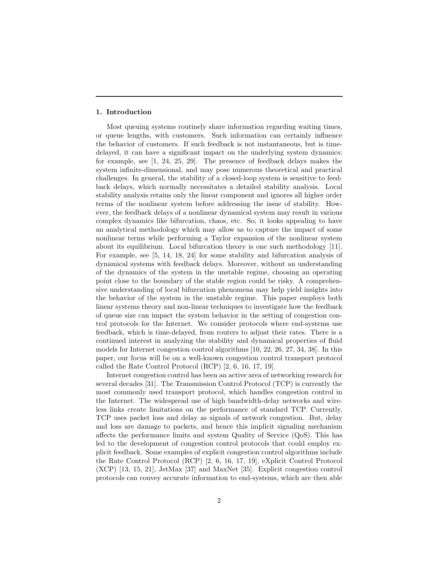#### 1. Introduction

Most queuing systems routinely share information regarding waiting times, or queue lengths, with customers. Such information can certainly influence the behavior of customers. If such feedback is not instantaneous, but is timedelayed, it can have a significant impact on the underlying system dynamics; for example, see [1, 24, 25, 29]. The presence of feedback delays makes the system infinite-dimensional, and may pose numerous theoretical and practical challenges. In general, the stability of a closed-loop system is sensitive to feedback delays, which normally necessitates a detailed stability analysis. Local stability analysis retains only the linear component and ignores all higher order terms of the nonlinear system before addressing the issue of stability. However, the feedback delays of a nonlinear dynamical system may result in various complex dynamics like bifurcation, chaos, etc. So, it looks appealing to have an analytical methodology which may allow us to capture the impact of some nonlinear terms while performing a Taylor expansion of the nonlinear system about its equilibrium. Local bifurcation theory is one such methodology [11]. For example, see [5, 14, 18, 24] for some stability and bifurcation analysis of dynamical systems with feedback delays. Moreover, without an understanding of the dynamics of the system in the unstable regime, choosing an operating point close to the boundary of the stable region could be risky. A comprehensive understanding of local bifurcation phenomena may help yield insights into the behavior of the system in the unstable regime. This paper employs both linear systems theory and non-linear techniques to investigate how the feedback of queue size can impact the system behavior in the setting of congestion control protocols for the Internet. We consider protocols where end-systems use feedback, which is time-delayed, from routers to adjust their rates. There is a continued interest in analyzing the stability and dynamical properties of fluid models for Internet congestion control algorithms [10, 22, 26, 27, 34, 38]. In this paper, our focus will be on a well-known congestion control transport protocol called the Rate Control Protocol (RCP) [2, 6, 16, 17, 19].

Internet congestion control has been an active area of networking research for several decades [31]. The Transmission Control Protocol (TCP) is currently the most commonly used transport protocol, which handles congestion control in the Internet. The widespread use of high bandwidth-delay networks and wireless links create limitations on the performance of standard TCP. Currently, TCP uses packet loss and delay as signals of network congestion. But, delay and loss are damage to packets, and hence this implicit signaling mechanism affects the performance limits and system Quality of Service (QoS). This has led to the development of congestion control protocols that could employ explicit feedback. Some examples of explicit congestion control algorithms include the Rate Control Protocol (RCP) [2, 6, 16, 17, 19], eXplicit Control Protocol (XCP) [13, 15, 21], JetMax [37] and MaxNet [35]. Explicit congestion control protocols can convey accurate information to end-systems, which are then able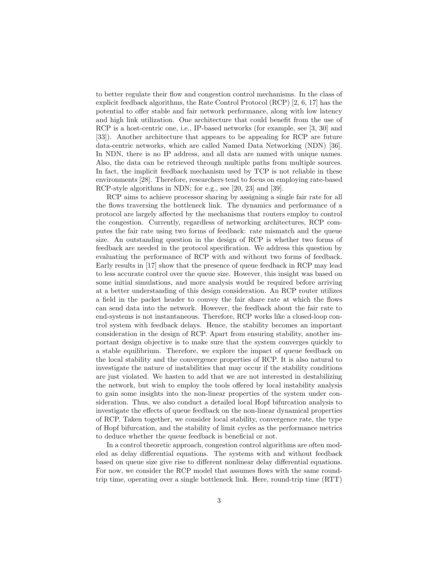to better regulate their flow and congestion control mechanisms. In the class of explicit feedback algorithms, the Rate Control Protocol (RCP) [2, 6, 17] has the potential to offer stable and fair network performance, along with low latency and high link utilization. One architecture that could benefit from the use of RCP is a host-centric one, i.e., IP-based networks (for example, see [3, 30] and [33]). Another architecture that appears to be appealing for RCP are future data-centric networks, which are called Named Data Networking (NDN) [36]. In NDN, there is no IP address, and all data are named with unique names. Also, the data can be retrieved through multiple paths from multiple sources. In fact, the implicit feedback mechanism used by TCP is not reliable in these environments [28]. Therefore, researchers tend to focus on employing rate-based RCP-style algorithms in NDN; for e.g., see [20, 23] and [39].

RCP aims to achieve processor sharing by assigning a single fair rate for all the flows traversing the bottleneck link. The dynamics and performance of a protocol are largely affected by the mechanisms that routers employ to control the congestion. Currently, regardless of networking architectures, RCP computes the fair rate using two forms of feedback: rate mismatch and the queue size. An outstanding question in the design of RCP is whether two forms of feedback are needed in the protocol specification. We address this question by evaluating the performance of RCP with and without two forms of feedback. Early results in [17] show that the presence of queue feedback in RCP may lead to less accurate control over the queue size. However, this insight was based on some initial simulations, and more analysis would be required before arriving at a better understanding of this design consideration. An RCP router utilizes a field in the packet header to convey the fair share rate at which the flows can send data into the network. However, the feedback about the fair rate to end-systems is not instantaneous. Therefore, RCP works like a closed-loop control system with feedback delays. Hence, the stability becomes an important consideration in the design of RCP. Apart from ensuring stability, another important design objective is to make sure that the system converges quickly to a stable equilibrium. Therefore, we explore the impact of queue feedback on the local stability and the convergence properties of RCP. It is also natural to investigate the nature of instabilities that may occur if the stability conditions are just violated. We hasten to add that we are not interested in destabilizing the network, but wish to employ the tools offered by local instability analysis to gain some insights into the non-linear properties of the system under consideration. Thus, we also conduct a detailed local Hopf bifurcation analysis to investigate the effects of queue feedback on the non-linear dynamical properties of RCP. Taken together, we consider local stability, convergence rate, the type of Hopf bifurcation, and the stability of limit cycles as the performance metrics to deduce whether the queue feedback is beneficial or not.

In a control theoretic approach, congestion control algorithms are often modeled as delay differential equations. The systems with and without feedback based on queue size give rise to different nonlinear delay differential equations. For now, we consider the RCP model that assumes flows with the same roundtrip time, operating over a single bottleneck link. Here, round-trip time (RTT)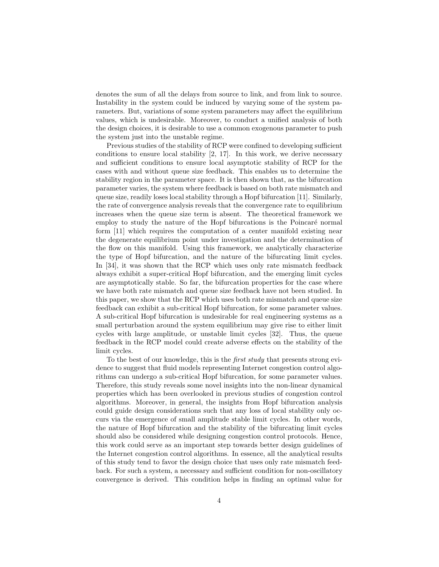denotes the sum of all the delays from source to link, and from link to source. Instability in the system could be induced by varying some of the system parameters. But, variations of some system parameters may affect the equilibrium values, which is undesirable. Moreover, to conduct a unified analysis of both the design choices, it is desirable to use a common exogenous parameter to push the system just into the unstable regime.

Previous studies of the stability of RCP were confined to developing sufficient conditions to ensure local stability  $[2, 17]$ . In this work, we derive necessary and sufficient conditions to ensure local asymptotic stability of RCP for the cases with and without queue size feedback. This enables us to determine the stability region in the parameter space. It is then shown that, as the bifurcation parameter varies, the system where feedback is based on both rate mismatch and queue size, readily loses local stability through a Hopf bifurcation [11]. Similarly, the rate of convergence analysis reveals that the convergence rate to equilibrium increases when the queue size term is absent. The theoretical framework we employ to study the nature of the Hopf bifurcations is the Poincaré normal form [11] which requires the computation of a center manifold existing near the degenerate equilibrium point under investigation and the determination of the flow on this manifold. Using this framework, we analytically characterize the type of Hopf bifurcation, and the nature of the bifurcating limit cycles. In [34], it was shown that the RCP which uses only rate mismatch feedback always exhibit a super-critical Hopf bifurcation, and the emerging limit cycles are asymptotically stable. So far, the bifurcation properties for the case where we have both rate mismatch and queue size feedback have not been studied. In this paper, we show that the RCP which uses both rate mismatch and queue size feedback can exhibit a sub-critical Hopf bifurcation, for some parameter values. A sub-critical Hopf bifurcation is undesirable for real engineering systems as a small perturbation around the system equilibrium may give rise to either limit cycles with large amplitude, or unstable limit cycles [32]. Thus, the queue feedback in the RCP model could create adverse effects on the stability of the limit cycles.

To the best of our knowledge, this is the *first study* that presents strong evidence to suggest that fluid models representing Internet congestion control algorithms can undergo a sub-critical Hopf bifurcation, for some parameter values. Therefore, this study reveals some novel insights into the non-linear dynamical properties which has been overlooked in previous studies of congestion control algorithms. Moreover, in general, the insights from Hopf bifurcation analysis could guide design considerations such that any loss of local stability only occurs via the emergence of small amplitude stable limit cycles. In other words, the nature of Hopf bifurcation and the stability of the bifurcating limit cycles should also be considered while designing congestion control protocols. Hence, this work could serve as an important step towards better design guidelines of the Internet congestion control algorithms. In essence, all the analytical results of this study tend to favor the design choice that uses only rate mismatch feedback. For such a system, a necessary and sufficient condition for non-oscillatory convergence is derived. This condition helps in finding an optimal value for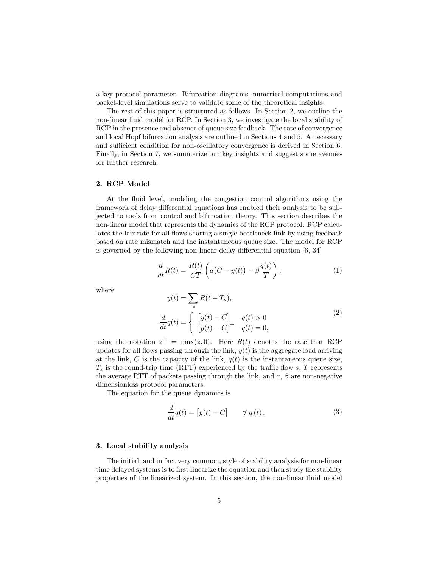a key protocol parameter. Bifurcation diagrams, numerical computations and packet-level simulations serve to validate some of the theoretical insights.

The rest of this paper is structured as follows. In Section 2, we outline the non-linear fluid model for RCP. In Section 3, we investigate the local stability of RCP in the presence and absence of queue size feedback. The rate of convergence and local Hopf bifurcation analysis are outlined in Sections 4 and 5. A necessary and sufficient condition for non-oscillatory convergence is derived in Section 6. Finally, in Section 7, we summarize our key insights and suggest some avenues for further research.

## 2. RCP Model

At the fluid level, modeling the congestion control algorithms using the framework of delay differential equations has enabled their analysis to be subjected to tools from control and bifurcation theory. This section describes the non-linear model that represents the dynamics of the RCP protocol. RCP calculates the fair rate for all flows sharing a single bottleneck link by using feedback based on rate mismatch and the instantaneous queue size. The model for RCP is governed by the following non-linear delay differential equation [6, 34]

$$
\frac{d}{dt}R(t) = \frac{R(t)}{C\overline{T}}\left(a(C - y(t)) - \beta \frac{q(t)}{\overline{T}}\right),\tag{1}
$$

where

$$
y(t) = \sum_{s} R(t - T_s),
$$
  
\n
$$
\frac{d}{dt}q(t) = \begin{cases} [y(t) - C] & q(t) > 0 \\ [y(t) - C]^{+} & q(t) = 0, \end{cases}
$$
\n(2)

using the notation  $z^+ = \max(z, 0)$ . Here  $R(t)$  denotes the rate that RCP updates for all flows passing through the link,  $y(t)$  is the aggregate load arriving at the link, C is the capacity of the link,  $q(t)$  is the instantaneous queue size,  $T_s$  is the round-trip time (RTT) experienced by the traffic flow s,  $\overline{T}$  represents the average RTT of packets passing through the link, and  $a, \beta$  are non-negative dimensionless protocol parameters.

The equation for the queue dynamics is

$$
\frac{d}{dt}q(t) = [y(t) - C] \qquad \forall \ q(t).
$$
\n(3)

#### 3. Local stability analysis

The initial, and in fact very common, style of stability analysis for non-linear time delayed systems is to first linearize the equation and then study the stability properties of the linearized system. In this section, the non-linear fluid model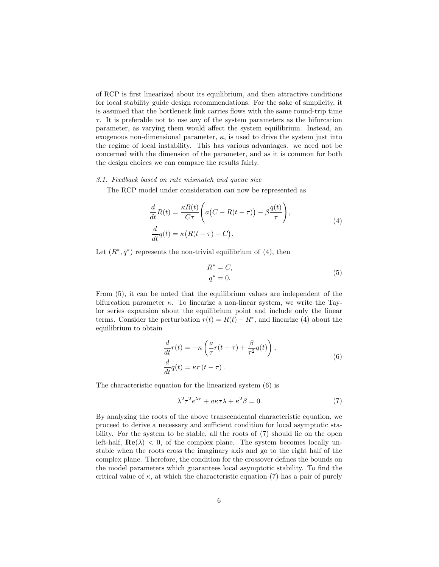of RCP is first linearized about its equilibrium, and then attractive conditions for local stability guide design recommendations. For the sake of simplicity, it is assumed that the bottleneck link carries flows with the same round-trip time  $\tau$ . It is preferable not to use any of the system parameters as the bifurcation parameter, as varying them would affect the system equilibrium. Instead, an exogenous non-dimensional parameter,  $\kappa$ , is used to drive the system just into the regime of local instability. This has various advantages. we need not be concerned with the dimension of the parameter, and as it is common for both the design choices we can compare the results fairly.

# *3.1. Feedback based on rate mismatch and queue size*

The RCP model under consideration can now be represented as

$$
\frac{d}{dt}R(t) = \frac{\kappa R(t)}{C\tau} \left( a(C - R(t - \tau)) - \beta \frac{q(t)}{\tau} \right),
$$
\n
$$
\frac{d}{dt}q(t) = \kappa (R(t - \tau) - C).
$$
\n(4)

Let  $(R^*, q^*)$  represents the non-trivial equilibrium of (4), then

$$
R^* = C,
$$
  
\n
$$
q^* = 0.
$$
\n(5)

From (5), it can be noted that the equilibrium values are independent of the bifurcation parameter  $\kappa$ . To linearize a non-linear system, we write the Taylor series expansion about the equilibrium point and include only the linear terms. Consider the perturbation  $r(t) = R(t) - R^*$ , and linearize (4) about the equilibrium to obtain

$$
\frac{d}{dt}r(t) = -\kappa \left(\frac{a}{\tau}r(t-\tau) + \frac{\beta}{\tau^2}q(t)\right),
$$
\n
$$
\frac{d}{dt}q(t) = \kappa r(t-\tau).
$$
\n(6)

The characteristic equation for the linearized system (6) is

$$
\lambda^2 \tau^2 e^{\lambda \tau} + a\kappa \tau \lambda + \kappa^2 \beta = 0. \tag{7}
$$

By analyzing the roots of the above transcendental characteristic equation, we proceed to derive a necessary and sufficient condition for local asymptotic stability. For the system to be stable, all the roots of (7) should lie on the open left-half,  $\text{Re}(\lambda) < 0$ , of the complex plane. The system becomes locally unstable when the roots cross the imaginary axis and go to the right half of the complex plane. Therefore, the condition for the crossover defines the bounds on the model parameters which guarantees local asymptotic stability. To find the critical value of  $\kappa$ , at which the characteristic equation (7) has a pair of purely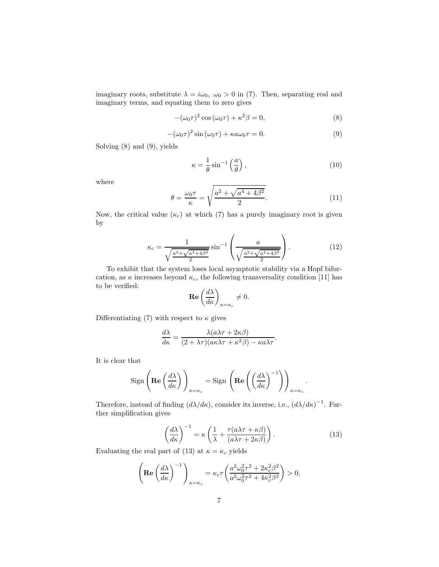imaginary roots, substitute  $\lambda = i\omega_0$ ,  $\omega_0 > 0$  in (7). Then, separating real and imaginary terms, and equating them to zero gives

$$
-(\omega_0 \tau)^2 \cos(\omega_0 \tau) + \kappa^2 \beta = 0,
$$
\n(8)

$$
-(\omega_0 \tau)^2 \sin(\omega_0 \tau) + \kappa a \omega_0 \tau = 0. \tag{9}
$$

Solving (8) and (9), yields

$$
\kappa = \frac{1}{\theta} \sin^{-1} \left( \frac{a}{\theta} \right),\tag{10}
$$

where

$$
\theta = \frac{\omega_0 \tau}{\kappa} = \sqrt{\frac{a^2 + \sqrt{a^4 + 4\beta^2}}{2}}.
$$
\n(11)

Now, the critical value  $(\kappa_c)$  at which (7) has a purely imaginary root is given by

$$
\kappa_c = \frac{1}{\sqrt{\frac{a^2 + \sqrt{a^4 + 4\beta^2}}{2}}} \sin^{-1} \left( \frac{a}{\sqrt{\frac{a^2 + \sqrt{a^4 + 4\beta^2}}{2}}} \right).
$$
 (12)

To exhibit that the system loses local asymptotic stability via a Hopf bifurcation, as  $\kappa$  increases beyond  $\kappa_c$ , the following transversality condition [11] has to be verified:

$$
\operatorname{Re}\left(\frac{d\lambda}{d\kappa}\right)_{\kappa=\kappa_c}\neq 0.
$$

Differentiating (7) with respect to  $\kappa$  gives

$$
\frac{d\lambda}{d\kappa} = \frac{\lambda(a\lambda\tau + 2\kappa\beta)}{(2 + \lambda\tau)(a\kappa\lambda\tau + \kappa^2\beta) - \kappa a\lambda\tau}.
$$

It is clear that

$$
\operatorname{Sign}\left(\operatorname{Re}\left(\frac{d\lambda}{d\kappa}\right)\right)_{\kappa=\kappa_c} = \operatorname{Sign}\left(\operatorname{Re}\left(\left(\frac{d\lambda}{d\kappa}\right)^{-1}\right)\right)_{\kappa=\kappa_c}.
$$

Therefore, instead of finding  $(d\lambda/d\kappa)$ , consider its inverse, i.e.,  $(d\lambda/d\kappa)^{-1}$ . Further simplification gives

$$
\left(\frac{d\lambda}{d\kappa}\right)^{-1} = \kappa \left(\frac{1}{\lambda} + \frac{\tau(a\lambda\tau + \kappa\beta)}{(a\lambda\tau + 2\kappa\beta)}\right). \tag{13}
$$

Evaluating the real part of (13) at  $\kappa = \kappa_c$  yields

$$
\left(\operatorname{Re}\left(\frac{d\lambda}{d\kappa}\right)^{-1}\right)_{\kappa=\kappa_c} = \kappa_c \tau \left(\frac{a^2 \omega_0^2 \tau^2 + 2\kappa_c^2 \beta^2}{a^2 \omega_0^2 \tau^2 + 4\kappa_c^2 \beta^2}\right) > 0,
$$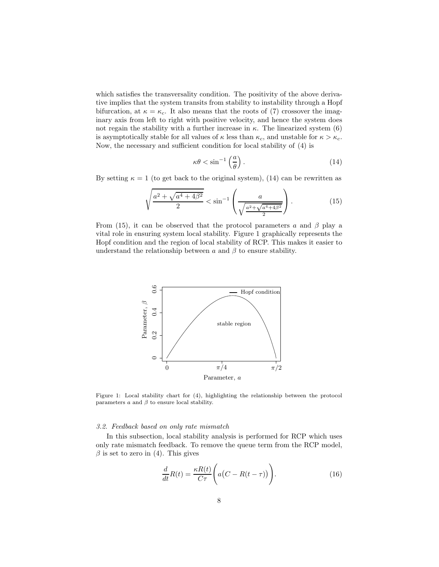which satisfies the transversality condition. The positivity of the above derivative implies that the system transits from stability to instability through a Hopf bifurcation, at  $\kappa = \kappa_c$ . It also means that the roots of (7) crossover the imaginary axis from left to right with positive velocity, and hence the system does not regain the stability with a further increase in  $\kappa$ . The linearized system (6) is asymptotically stable for all values of  $\kappa$  less than  $\kappa_c$ , and unstable for  $\kappa > \kappa_c$ . Now, the necessary and sufficient condition for local stability of (4) is

$$
\kappa \theta < \sin^{-1} \left( \frac{a}{\theta} \right). \tag{14}
$$

By setting  $\kappa = 1$  (to get back to the original system), (14) can be rewritten as

$$
\sqrt{\frac{a^2 + \sqrt{a^4 + 4\beta^2}}{2}} < \sin^{-1}\left(\frac{a}{\sqrt{\frac{a^2 + \sqrt{a^4 + 4\beta^2}}{2}}}\right). \tag{15}
$$

From (15), it can be observed that the protocol parameters a and  $\beta$  play a vital role in ensuring system local stability. Figure 1 graphically represents the Hopf condition and the region of local stability of RCP. This makes it easier to understand the relationship between  $\alpha$  and  $\beta$  to ensure stability.



Figure 1: Local stability chart for (4), highlighting the relationship between the protocol parameters  $a$  and  $\beta$  to ensure local stability.

#### *3.2. Feedback based on only rate mismatch*

In this subsection, local stability analysis is performed for RCP which uses only rate mismatch feedback. To remove the queue term from the RCP model,  $\beta$  is set to zero in (4). This gives

$$
\frac{d}{dt}R(t) = \frac{\kappa R(t)}{C\tau} \left( a\left(C - R(t - \tau)\right) \right). \tag{16}
$$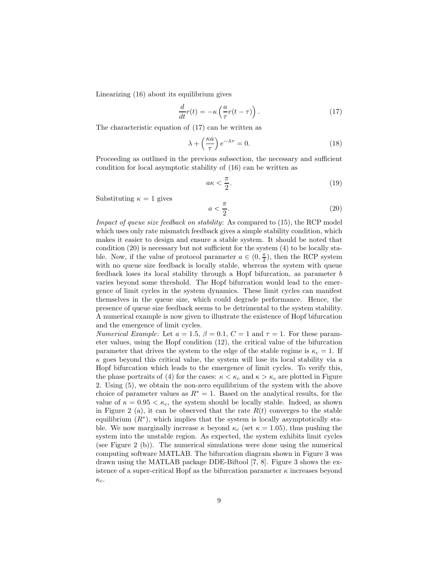Linearizing (16) about its equilibrium gives

$$
\frac{d}{dt}r(t) = -\kappa \left(\frac{a}{\tau}r(t-\tau)\right). \tag{17}
$$

The characteristic equation of (17) can be written as

$$
\lambda + \left(\frac{\kappa a}{\tau}\right)e^{-\lambda \tau} = 0.
$$
\n(18)

Proceeding as outlined in the previous subsection, the necessary and sufficient condition for local asymptotic stability of (16) can be written as

$$
a\kappa < \frac{\pi}{2}.\tag{19}
$$

Substituting  $\kappa = 1$  gives

$$
a < \frac{\pi}{2}.\tag{20}
$$

*Impact of queue size feedback on stability*: As compared to (15), the RCP model which uses only rate mismatch feedback gives a simple stability condition, which makes it easier to design and ensure a stable system. It should be noted that condition (20) is necessary but not sufficient for the system (4) to be locally stable. Now, if the value of protocol parameter  $a \in (0, \frac{\pi}{2})$ , then the RCP system with no queue size feedback is locally stable, whereas the system with queue feedback loses its local stability through a Hopf bifurcation, as parameter b varies beyond some threshold. The Hopf bifurcation would lead to the emergence of limit cycles in the system dynamics. These limit cycles can manifest themselves in the queue size, which could degrade performance. Hence, the presence of queue size feedback seems to be detrimental to the system stability. A numerical example is now given to illustrate the existence of Hopf bifurcation and the emergence of limit cycles.

*Numerical Example*: Let  $a = 1.5$ ,  $\beta = 0.1$ ,  $C = 1$  and  $\tau = 1$ . For these parameter values, using the Hopf condition (12), the critical value of the bifurcation parameter that drives the system to the edge of the stable regime is  $\kappa_c = 1$ . If  $\kappa$  goes beyond this critical value, the system will lose its local stability via a Hopf bifurcation which leads to the emergence of limit cycles. To verify this, the phase portraits of (4) for the cases:  $\kappa < \kappa_c$  and  $\kappa > \kappa_c$  are plotted in Figure 2. Using (5), we obtain the non-zero equilibrium of the system with the above choice of parameter values as  $R^* = 1$ . Based on the analytical results, for the value of  $\kappa = 0.95 < \kappa_c$ , the system should be locally stable. Indeed, as shown in Figure 2 (a), it can be observed that the rate  $R(t)$  converges to the stable equilibrium  $(R^*)$ , which implies that the system is locally asymptotically stable. We now marginally increase  $\kappa$  beyond  $\kappa_c$  (set  $\kappa = 1.05$ ), thus pushing the system into the unstable region. As expected, the system exhibits limit cycles (see Figure 2 (b)). The numerical simulations were done using the numerical computing software MATLAB. The bifurcation diagram shown in Figure 3 was drawn using the MATLAB package DDE-Biftool [7, 8]. Figure 3 shows the existence of a super-critical Hopf as the bifurcation parameter  $\kappa$  increases beyond  $\kappa_c$ .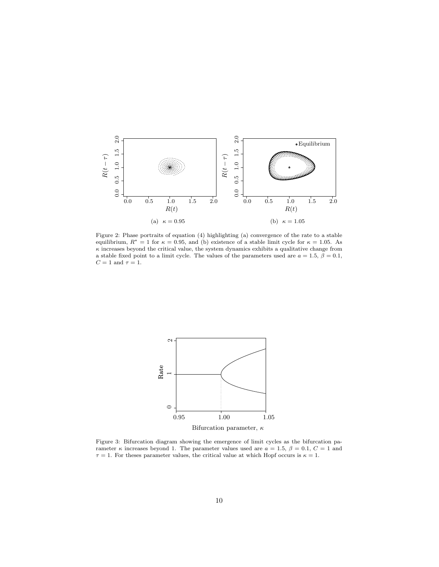

Figure 2: Phase portraits of equation (4) highlighting (a) convergence of the rate to a stable equilibrium,  $R^* = 1$  for  $\kappa = 0.95$ , and (b) existence of a stable limit cycle for  $\kappa = 1.05$ . As  $\kappa$  increases beyond the critical value, the system dynamics exhibits a qualitative change from a stable fixed point to a limit cycle. The values of the parameters used are  $a = 1.5$ ,  $\beta = 0.1$ ,  $C = 1$  and  $\tau = 1$ .



Figure 3: Bifurcation diagram showing the emergence of limit cycles as the bifurcation parameter  $\kappa$  increases beyond 1. The parameter values used are  $a = 1.5$ ,  $\beta = 0.1$ ,  $C = 1$  and  $\tau = 1$ . For theses parameter values, the critical value at which Hopf occurs is  $\kappa = 1$ .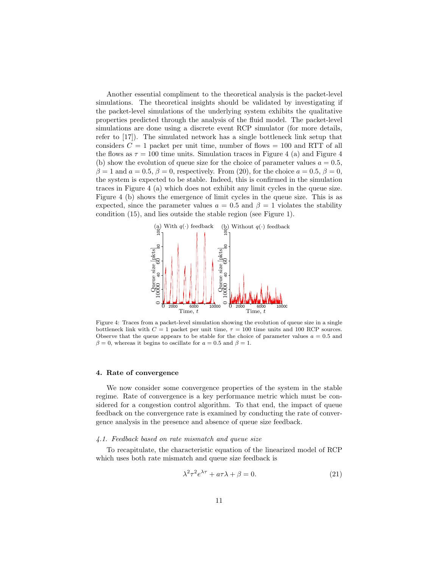Another essential compliment to the theoretical analysis is the packet-level simulations. The theoretical insights should be validated by investigating if the packet-level simulations of the underlying system exhibits the qualitative properties predicted through the analysis of the fluid model. The packet-level simulations are done using a discrete event RCP simulator (for more details, refer to [17]). The simulated network has a single bottleneck link setup that considers  $C = 1$  packet per unit time, number of flows  $= 100$  and RTT of all the flows as  $\tau = 100$  time units. Simulation traces in Figure 4 (a) and Figure 4 (b) show the evolution of queue size for the choice of parameter values  $a = 0.5$ ,  $\beta = 1$  and  $a = 0.5$ ,  $\beta = 0$ , respectively. From (20), for the choice  $a = 0.5$ ,  $\beta = 0$ , the system is expected to be stable. Indeed, this is confirmed in the simulation traces in Figure 4 (a) which does not exhibit any limit cycles in the queue size. Figure 4 (b) shows the emergence of limit cycles in the queue size. This is as expected, since the parameter values  $a = 0.5$  and  $\beta = 1$  violates the stability condition (15), and lies outside the stable region (see Figure 1).



Figure 4: Traces from a packet-level simulation showing the evolution of queue size in a single bottleneck link with  $C = 1$  packet per unit time,  $\tau = 100$  time units and 100 RCP sources. Observe that the queue appears to be stable for the choice of parameter values  $a = 0.5$  and  $\beta = 0$ , whereas it begins to oscillate for  $a = 0.5$  and  $\beta = 1$ .

#### 4. Rate of convergence

We now consider some convergence properties of the system in the stable regime. Rate of convergence is a key performance metric which must be considered for a congestion control algorithm. To that end, the impact of queue feedback on the convergence rate is examined by conducting the rate of convergence analysis in the presence and absence of queue size feedback.

#### *4.1. Feedback based on rate mismatch and queue size*

To recapitulate, the characteristic equation of the linearized model of RCP which uses both rate mismatch and queue size feedback is

$$
\lambda^2 \tau^2 e^{\lambda \tau} + a\tau \lambda + \beta = 0. \tag{21}
$$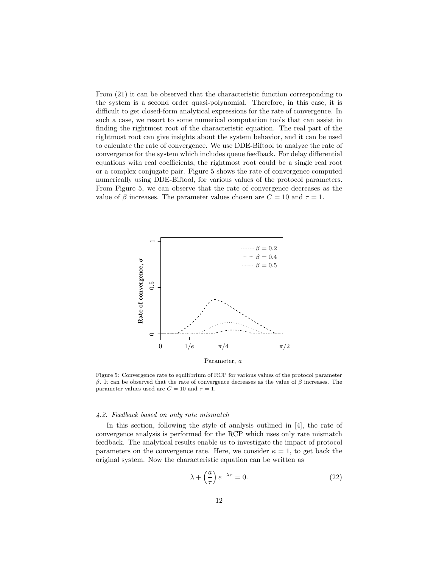From (21) it can be observed that the characteristic function corresponding to the system is a second order quasi-polynomial. Therefore, in this case, it is difficult to get closed-form analytical expressions for the rate of convergence. In such a case, we resort to some numerical computation tools that can assist in finding the rightmost root of the characteristic equation. The real part of the rightmost root can give insights about the system behavior, and it can be used to calculate the rate of convergence. We use DDE-Biftool to analyze the rate of convergence for the system which includes queue feedback. For delay differential equations with real coefficients, the rightmost root could be a single real root or a complex conjugate pair. Figure 5 shows the rate of convergence computed numerically using DDE-Biftool, for various values of the protocol parameters. From Figure 5, we can observe that the rate of convergence decreases as the value of  $\beta$  increases. The parameter values chosen are  $C = 10$  and  $\tau = 1$ .



Figure 5: Convergence rate to equilibrium of RCP for various values of the protocol parameter β. It can be observed that the rate of convergence decreases as the value of β increases. The parameter values used are  $C=10$  and  $\tau=1$ .

## *4.2. Feedback based on only rate mismatch*

In this section, following the style of analysis outlined in [4], the rate of convergence analysis is performed for the RCP which uses only rate mismatch feedback. The analytical results enable us to investigate the impact of protocol parameters on the convergence rate. Here, we consider  $\kappa = 1$ , to get back the original system. Now the characteristic equation can be written as

$$
\lambda + \left(\frac{a}{\tau}\right)e^{-\lambda \tau} = 0.
$$
 (22)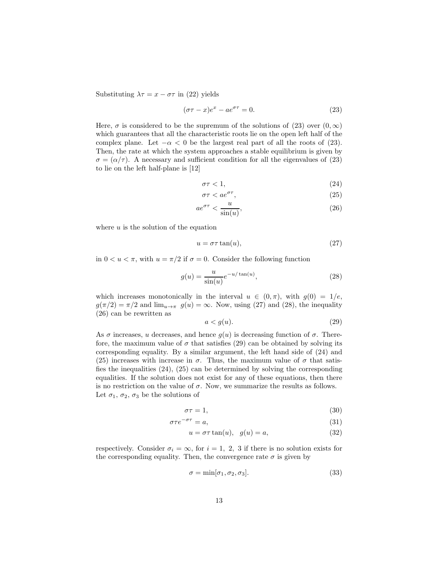Substituting  $\lambda \tau = x - \sigma \tau$  in (22) yields

$$
(\sigma \tau - x)e^{x} - ae^{\sigma \tau} = 0.
$$
 (23)

Here,  $\sigma$  is considered to be the supremum of the solutions of (23) over  $(0, \infty)$ which guarantees that all the characteristic roots lie on the open left half of the complex plane. Let  $-\alpha < 0$  be the largest real part of all the roots of (23). Then, the rate at which the system approaches a stable equilibrium is given by  $\sigma = (\alpha/\tau)$ . A necessary and sufficient condition for all the eigenvalues of (23) to lie on the left half-plane is [12]

$$
\sigma \tau < 1,\tag{24}
$$

$$
\sigma \tau < a e^{\sigma \tau},\tag{25}
$$

$$
ae^{\sigma\tau} < \frac{u}{\sin(u)},\tag{26}
$$

where  $u$  is the solution of the equation

$$
u = \sigma \tau \tan(u),\tag{27}
$$

in  $0 < u < \pi$ , with  $u = \pi/2$  if  $\sigma = 0$ . Consider the following function

$$
g(u) = \frac{u}{\sin(u)} e^{-u/\tan(u)},
$$
\n(28)

which increases monotonically in the interval  $u \in (0, \pi)$ , with  $q(0) = 1/e$ ,  $g(\pi/2) = \pi/2$  and  $\lim_{u \to \pi} g(u) = \infty$ . Now, using (27) and (28), the inequality (26) can be rewritten as

$$
a < g(u). \tag{29}
$$

As  $\sigma$  increases, u decreases, and hence  $g(u)$  is decreasing function of  $\sigma$ . Therefore, the maximum value of  $\sigma$  that satisfies (29) can be obtained by solving its corresponding equality. By a similar argument, the left hand side of (24) and (25) increases with increase in  $\sigma$ . Thus, the maximum value of  $\sigma$  that satisfies the inequalities (24), (25) can be determined by solving the corresponding equalities. If the solution does not exist for any of these equations, then there is no restriction on the value of  $\sigma$ . Now, we summarize the results as follows. Let  $\sigma_1$ ,  $\sigma_2$ ,  $\sigma_3$  be the solutions of

$$
\sigma \tau = 1,\tag{30}
$$

$$
\sigma \tau e^{-\sigma \tau} = a,\tag{31}
$$

$$
u = \sigma \tau \tan(u), \quad g(u) = a,\tag{32}
$$

respectively. Consider  $\sigma_i = \infty$ , for  $i = 1, 2, 3$  if there is no solution exists for the corresponding equality. Then, the convergence rate  $\sigma$  is given by

$$
\sigma = \min[\sigma_1, \sigma_2, \sigma_3].\tag{33}
$$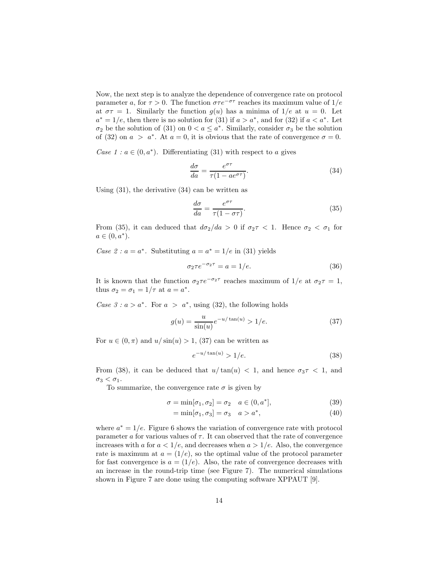Now, the next step is to analyze the dependence of convergence rate on protocol parameter a, for  $\tau > 0$ . The function  $\sigma \tau e^{-\sigma \tau}$  reaches its maximum value of 1/e at  $\sigma\tau = 1$ . Similarly the function  $g(u)$  has a minima of  $1/e$  at  $u = 0$ . Let  $a^* = 1/e$ , then there is no solution for (31) if  $a > a^*$ , and for (32) if  $a < a^*$ . Let  $\sigma_2$  be the solution of (31) on  $0 < a \leq a^*$ . Similarly, consider  $\sigma_3$  be the solution of (32) on  $a > a^*$ . At  $a = 0$ , it is obvious that the rate of convergence  $\sigma = 0$ .

*Case 1 :*  $a \in (0, a^*)$ . Differentiating (31) with respect to a gives

$$
\frac{d\sigma}{da} = \frac{e^{\sigma\tau}}{\tau(1 - ae^{\sigma\tau})}.
$$
\n(34)

Using (31), the derivative (34) can be written as

$$
\frac{d\sigma}{da} = \frac{e^{\sigma\tau}}{\tau(1 - \sigma\tau)}.
$$
\n(35)

From (35), it can deduced that  $d\sigma_2/da > 0$  if  $\sigma_2 \tau < 1$ . Hence  $\sigma_2 < \sigma_1$  for  $a \in (0, a^*).$ 

*Case 2 : a* =  $a^*$ . Substituting  $a = a^* = 1/e$  in (31) yields

$$
\sigma_2 \tau e^{-\sigma_2 \tau} = a = 1/e. \tag{36}
$$

It is known that the function  $\sigma_2 \tau e^{-\sigma_2 \tau}$  reaches maximum of  $1/e$  at  $\sigma_2 \tau = 1$ , thus  $\sigma_2 = \sigma_1 = 1/\tau$  at  $a = a^*$ .

*Case 3 : a > a*<sup>\*</sup>. For  $a > a^*$ , using (32), the following holds

$$
g(u) = \frac{u}{\sin(u)} e^{-u/\tan(u)} > 1/e.
$$
 (37)

For  $u \in (0, \pi)$  and  $u/\sin(u) > 1$ , (37) can be written as

$$
e^{-u/\tan(u)} > 1/e. \tag{38}
$$

From (38), it can be deduced that  $u/\tan(u) < 1$ , and hence  $\sigma_3 \tau < 1$ , and  $\sigma_3 < \sigma_1$ .

To summarize, the convergence rate  $\sigma$  is given by

$$
\sigma = \min[\sigma_1, \sigma_2] = \sigma_2 \quad a \in (0, a^*], \tag{39}
$$

$$
= \min[\sigma_1, \sigma_3] = \sigma_3 \quad a > a^*, \tag{40}
$$

where  $a^* = 1/e$ . Figure 6 shows the variation of convergence rate with protocol parameter  $\alpha$  for various values of  $\tau$ . It can observed that the rate of convergence increases with a for  $a < 1/e$ , and decreases when  $a > 1/e$ . Also, the convergence rate is maximum at  $a = (1/e)$ , so the optimal value of the protocol parameter for fast convergence is  $a = (1/e)$ . Also, the rate of convergence decreases with an increase in the round-trip time (see Figure 7). The numerical simulations shown in Figure 7 are done using the computing software XPPAUT [9].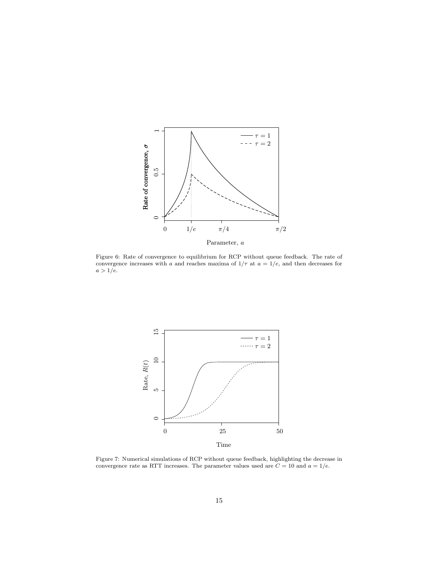

Figure 6: Rate of convergence to equilibrium for RCP without queue feedback. The rate of convergence increases with a and reaches maxima of  $1/\tau$  at  $a = 1/e$ , and then decreases for  $a>1/e.$ 



Figure 7: Numerical simulations of RCP without queue feedback, highlighting the decrease in convergence rate as RTT increases. The parameter values used are  $C = 10$  and  $a = 1/e$ .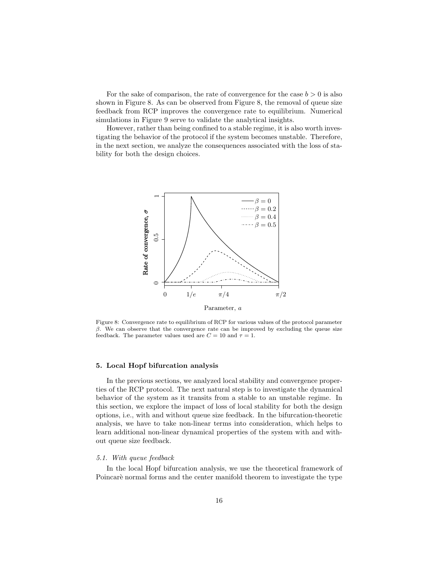For the sake of comparison, the rate of convergence for the case  $b > 0$  is also shown in Figure 8. As can be observed from Figure 8, the removal of queue size feedback from RCP improves the convergence rate to equilibrium. Numerical simulations in Figure 9 serve to validate the analytical insights.

However, rather than being confined to a stable regime, it is also worth investigating the behavior of the protocol if the system becomes unstable. Therefore, in the next section, we analyze the consequences associated with the loss of stability for both the design choices.



Parameter, a

Figure 8: Convergence rate to equilibrium of RCP for various values of the protocol parameter β. We can observe that the convergence rate can be improved by excluding the queue size feedback. The parameter values used are  $C = 10$  and  $\tau = 1$ .

#### 5. Local Hopf bifurcation analysis

In the previous sections, we analyzed local stability and convergence properties of the RCP protocol. The next natural step is to investigate the dynamical behavior of the system as it transits from a stable to an unstable regime. In this section, we explore the impact of loss of local stability for both the design options, i.e., with and without queue size feedback. In the bifurcation-theoretic analysis, we have to take non-linear terms into consideration, which helps to learn additional non-linear dynamical properties of the system with and without queue size feedback.

# *5.1. With queue feedback*

In the local Hopf bifurcation analysis, we use the theoretical framework of Poincarè normal forms and the center manifold theorem to investigate the type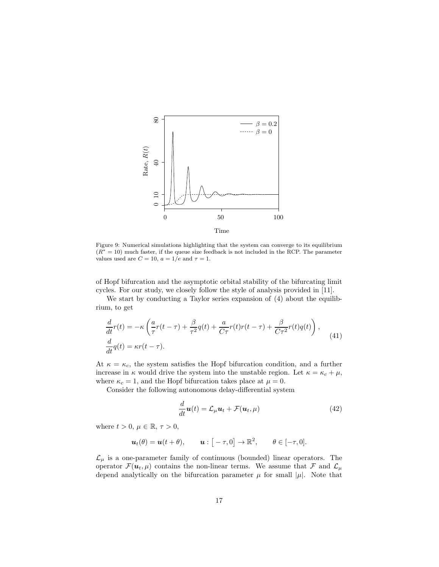

Figure 9: Numerical simulations highlighting that the system can converge to its equilibrium  $(R<sup>*</sup> = 10)$  much faster, if the queue size feedback is not included in the RCP. The parameter values used are  $C = 10$ ,  $a = 1/e$  and  $\tau = 1$ .

of Hopf bifurcation and the asymptotic orbital stability of the bifurcating limit cycles. For our study, we closely follow the style of analysis provided in [11].

We start by conducting a Taylor series expansion of (4) about the equilibrium, to get

$$
\frac{d}{dt}r(t) = -\kappa \left(\frac{a}{\tau}r(t-\tau) + \frac{\beta}{\tau^2}q(t) + \frac{a}{C\tau}r(t)r(t-\tau) + \frac{\beta}{C\tau^2}r(t)q(t)\right),
$$
\n
$$
\frac{d}{dt}q(t) = \kappa r(t-\tau).
$$
\n(41)

At  $\kappa = \kappa_c$ , the system satisfies the Hopf bifurcation condition, and a further increase in  $\kappa$  would drive the system into the unstable region. Let  $\kappa = \kappa_c + \mu$ , where  $\kappa_c = 1$ , and the Hopf bifurcation takes place at  $\mu = 0$ .

Consider the following autonomous delay-differential system

$$
\frac{d}{dt}\mathbf{u}(t) = \mathcal{L}_{\mu}\mathbf{u}_t + \mathcal{F}(\mathbf{u}_t, \mu)
$$
\n(42)

where  $t > 0$ ,  $\mu \in \mathbb{R}, \tau > 0$ ,

$$
\boldsymbol{u}_t(\theta) = \boldsymbol{u}(t+\theta), \qquad \boldsymbol{u}: \begin{bmatrix} -\tau, 0 \end{bmatrix} \to \mathbb{R}^2, \qquad \theta \in [-\tau, 0].
$$

 $\mathcal{L}_{\mu}$  is a one-parameter family of continuous (bounded) linear operators. The operator  $\mathcal{F}(\boldsymbol{u}_t,\mu)$  contains the non-linear terms. We assume that  $\mathcal{F}$  and  $\mathcal{L}_{\mu}$ depend analytically on the bifurcation parameter  $\mu$  for small  $|\mu|$ . Note that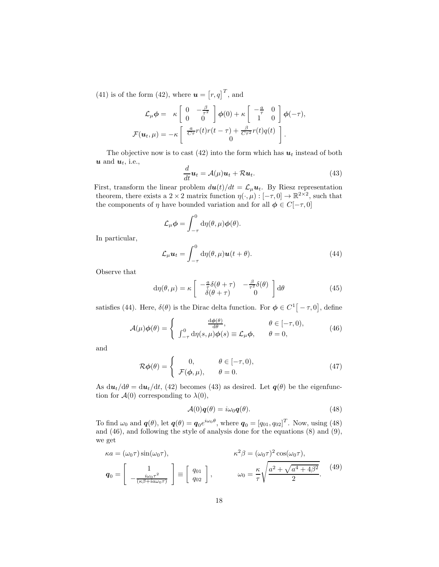(41) is of the form (42), where  $\boldsymbol{u} = [r, q]^T$ , and

$$
\mathcal{L}_{\mu}\phi = \kappa \begin{bmatrix} 0 & -\frac{\beta}{\tau^2} \\ 0 & 0 \end{bmatrix} \phi(0) + \kappa \begin{bmatrix} -\frac{a}{\tau} & 0 \\ 1 & 0 \end{bmatrix} \phi(-\tau),
$$

$$
\mathcal{F}(\boldsymbol{u}_t, \mu) = -\kappa \begin{bmatrix} \frac{a}{C\tau}r(t)r(t-\tau) + \frac{\beta}{C\tau^2}r(t)q(t) \\ 0 \end{bmatrix}.
$$

The objective now is to cast (42) into the form which has  $u_t$  instead of both  $u$  and  $u_t$ , i.e.,

$$
\frac{d}{dt}\mathbf{u}_t = \mathcal{A}(\mu)\mathbf{u}_t + \mathcal{R}\mathbf{u}_t.
$$
\n(43)

First, transform the linear problem  $d\mathbf{u}(t)/dt = \mathcal{L}_{\mu} \mathbf{u}_t$ . By Riesz representation theorem, there exists a 2 × 2 matrix function  $\eta(\cdot,\mu): [-\tau,0] \to \mathbb{R}^{2 \times 2}$ , such that the components of  $\eta$  have bounded variation and for all  $\phi \in C[-\tau, 0]$ 

$$
\mathcal{L}_{\mu}\phi = \int_{-\tau}^{0} d\eta(\theta, \mu)\phi(\theta).
$$

In particular,

$$
\mathcal{L}_{\mu}\mathbf{u}_{t} = \int_{-\tau}^{0} d\eta(\theta, \mu)\mathbf{u}(t + \theta). \tag{44}
$$

Observe that

$$
d\eta(\theta,\mu) = \kappa \begin{bmatrix} -\frac{a}{\tau}\delta(\theta+\tau) & -\frac{\beta}{\tau^2}\delta(\theta) \\ \delta(\theta+\tau) & 0 \end{bmatrix} d\theta \tag{45}
$$

satisfies (44). Here,  $\delta(\theta)$  is the Dirac delta function. For  $\phi \in C^1[-\tau,0]$ , define

$$
\mathcal{A}(\mu)\phi(\theta) = \begin{cases} \frac{d\phi(\theta)}{d\theta}, & \theta \in [-\tau, 0), \\ \int_{-\tau}^{0} d\eta(s, \mu)\phi(s) \equiv \mathcal{L}_{\mu}\phi, & \theta = 0, \end{cases}
$$
(46)

and

$$
\mathcal{R}\phi(\theta) = \begin{cases} 0, & \theta \in [-\tau, 0), \\ \mathcal{F}(\phi, \mu), & \theta = 0. \end{cases}
$$
 (47)

As  $du_t/d\theta = du_t/dt$ , (42) becomes (43) as desired. Let  $q(\theta)$  be the eigenfunction for  $\mathcal{A}(0)$  corresponding to  $\lambda(0)$ ,

$$
\mathcal{A}(0)\mathbf{q}(\theta) = i\omega_0 \mathbf{q}(\theta). \tag{48}
$$

To find  $\omega_0$  and  $\boldsymbol{q}(\theta)$ , let  $\boldsymbol{q}(\theta) = \boldsymbol{q}_0 e^{i\omega_0 \theta}$ , where  $\boldsymbol{q}_0 = [q_{01}, q_{02}]^T$ . Now, using (48) and (46), and following the style of analysis done for the equations (8) and (9), we get

$$
\kappa a = (\omega_0 \tau) \sin(\omega_0 \tau), \qquad \kappa^2 \beta = (\omega_0 \tau)^2 \cos(\omega_0 \tau),
$$
  

$$
\mathbf{q}_0 = \begin{bmatrix} 1 \\ -\frac{i\omega_0 \tau^2}{(\kappa \beta + i a \omega_0 \tau)} \end{bmatrix} \equiv \begin{bmatrix} q_{01} \\ q_{02} \end{bmatrix}, \qquad \omega_0 = \frac{\kappa}{\tau} \sqrt{\frac{a^2 + \sqrt{a^4 + 4\beta^2}}{2}}.
$$
 (49)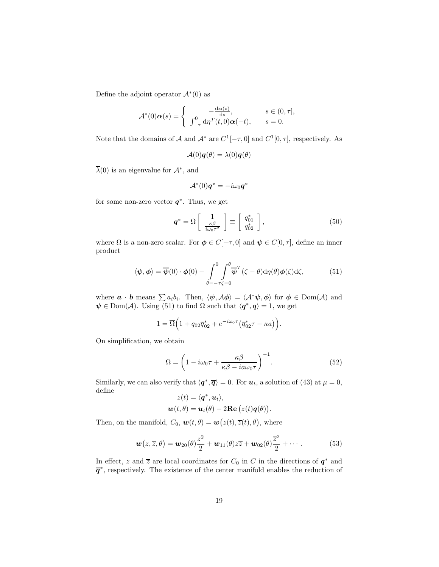Define the adjoint operator  $\mathcal{A}^*(0)$  as

$$
\mathcal{A}^*(0)\alpha(s) = \begin{cases} -\frac{d\alpha(s)}{ds}, & s \in (0, \tau], \\ \int_{-\tau}^0 d\eta \, d\eta \, d\eta \, d\eta \, d\eta \, d\eta, & s = 0. \end{cases}
$$

Note that the domains of  $\mathcal A$  and  $\mathcal A^*$  are  $C^1[-\tau,0]$  and  $C^1[0,\tau]$ , respectively. As

$$
\mathcal{A}(0)\mathbf{q}(\theta) = \lambda(0)\mathbf{q}(\theta)
$$

 $\overline{\lambda}(0)$  is an eigenvalue for  $\mathcal{A}^*$ , and

$$
\mathcal{A}^*(0)\bm{q}^* = -i\omega_0\bm{q}^*
$$

for some non-zero vector  $q^*$ . Thus, we get

$$
\boldsymbol{q}^* = \Omega \left[ \begin{array}{c} 1 \\ \frac{\kappa \beta}{i\omega_0 \tau^2} \end{array} \right] \equiv \left[ \begin{array}{c} q_{01}^* \\ q_{02}^* \end{array} \right],\tag{50}
$$

where  $\Omega$  is a non-zero scalar. For  $\phi \in C[-\tau,0]$  and  $\psi \in C[0,\tau]$ , define an inner product

$$
\langle \psi, \phi \rangle = \overline{\psi}(0) \cdot \phi(0) - \int_{\theta = -\tau \zeta = 0}^{0} \int_{\theta = -\tau \zeta = 0}^{\theta = \pi} \overline{\psi}^T(\zeta - \theta) d\eta(\theta) \phi(\zeta) d\zeta,
$$
 (51)

where  $\boldsymbol{a} \cdot \boldsymbol{b}$  means  $\sum a_i b_i$ . Then,  $\langle \psi, A\phi \rangle = \langle A^* \psi, \phi \rangle$  for  $\phi \in \text{Dom}(\mathcal{A})$  and  $\psi \in \text{Dom}(\mathcal{A})$ . Using (51) to find  $\Omega$  such that  $\langle \mathbf{q}^*, \mathbf{q} \rangle = 1$ , we get

$$
1 = \overline{\Omega}\Big(1 + q_{02}\overline{q}_{02}^* + e^{-i\omega_0\tau}(\overline{q}_{02}^*\tau - \kappa a)\Big).
$$

On simplification, we obtain

$$
\Omega = \left(1 - i\omega_0 \tau + \frac{\kappa \beta}{\kappa \beta - i a \omega_0 \tau}\right)^{-1}.\tag{52}
$$

Similarly, we can also verify that  $\langle \mathbf{q}^*, \overline{\mathbf{q}} \rangle = 0$ . For  $\mathbf{u}_t$ , a solution of (43) at  $\mu = 0$ , define

$$
z(t) = \langle \mathbf{q}^*, \mathbf{u}_t \rangle,
$$
  

$$
\mathbf{w}(t, \theta) = \mathbf{u}_t(\theta) - 2\mathbf{Re}\left(z(t)\mathbf{q}(\theta)\right).
$$

Then, on the manifold,  $C_0$ ,  $\mathbf{w}(t, \theta) = \mathbf{w}(z(t), \overline{z}(t), \theta)$ , where

$$
\boldsymbol{w}(z,\overline{z},\theta)=\boldsymbol{w}_{20}(\theta)\frac{z^2}{2}+\boldsymbol{w}_{11}(\theta)z\overline{z}+\boldsymbol{w}_{02}(\theta)\frac{\overline{z}^2}{2}+\cdots.
$$
 (53)

In effect, z and  $\overline{z}$  are local coordinates for  $C_0$  in  $C$  in the directions of  $q^*$  and  $\overline{q}^*$ , respectively. The existence of the center manifold enables the reduction of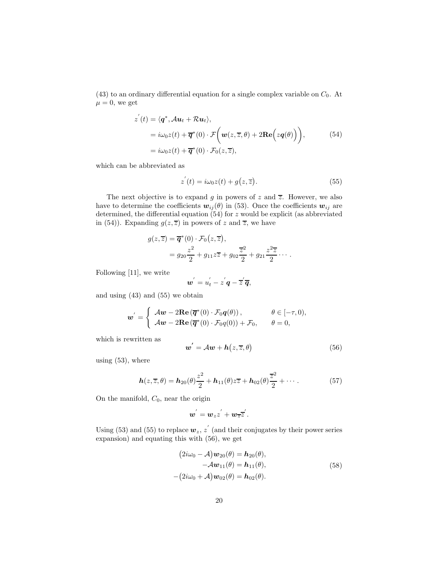$(43)$  to an ordinary differential equation for a single complex variable on  $C_0$ . At  $\mu = 0$ , we get

$$
z'(t) = \langle \mathbf{q}^*, \mathcal{A} \mathbf{u}_t + \mathcal{R} \mathbf{u}_t \rangle,
$$
  
=  $i\omega_0 z(t) + \overline{\mathbf{q}}^*(0) \cdot \mathcal{F}\Big(\mathbf{w}(z, \overline{z}, \theta) + 2\mathbf{Re}\Big(z\mathbf{q}(\theta)\Big)\Big),$  (54)  
=  $i\omega_0 z(t) + \overline{\mathbf{q}}^*(0) \cdot \mathcal{F}_0(z, \overline{z}),$ 

which can be abbreviated as

$$
z^{'}(t) = i\omega_0 z(t) + g(z, \overline{z}).
$$
\n(55)

The next objective is to expand g in powers of z and  $\overline{z}$ . However, we also have to determine the coefficients  $w_{ij}(\theta)$  in (53). Once the coefficients  $w_{ij}$  are determined, the differential equation  $(54)$  for z would be explicit (as abbreviated in (54)). Expanding  $g(z,\overline{z})$  in powers of z and  $\overline{z}$ , we have

$$
g(z,\overline{z}) = \overline{\boldsymbol{q}}^*(0) \cdot \mathcal{F}_0(z,\overline{z}),
$$
  
=  $g_{20} \frac{z^2}{2} + g_{11} z \overline{z} + g_{02} \frac{\overline{z}^2}{2} + g_{21} \frac{z^2 \overline{z}}{2} \cdots$ 

Following [11], we write

$$
\boldsymbol{w}'=\boldsymbol{u}'_t-\boldsymbol{z}'\boldsymbol{q}-\boldsymbol{\overline{z}}'\boldsymbol{\overline{q}},
$$

and using (43) and (55) we obtain

$$
\mathbf{w}' = \begin{cases} A\mathbf{w} - 2\mathbf{Re}(\overline{\mathbf{q}}^*(0) \cdot \mathcal{F}_0 \mathbf{q}(\theta)), & \theta \in [-\tau, 0), \\ A\mathbf{w} - 2\mathbf{Re}(\overline{\mathbf{q}}^*(0) \cdot \mathcal{F}_0 \mathbf{q}(0)) + \mathcal{F}_0, & \theta = 0, \end{cases}
$$

which is rewritten as

$$
\mathbf{w}' = \mathcal{A}\mathbf{w} + \mathbf{h}\left(z, \overline{z}, \theta\right) \tag{56}
$$

using  $(53)$ , where

$$
\boldsymbol{h}(z,\overline{z},\theta) = \boldsymbol{h}_{20}(\theta) \frac{z^2}{2} + \boldsymbol{h}_{11}(\theta) z \overline{z} + \boldsymbol{h}_{02}(\theta) \frac{\overline{z}^2}{2} + \cdots
$$
 (57)

On the manifold,  $C_0$ , near the origin

$$
\boldsymbol{w}^{'}=\boldsymbol{w}_z z^{'}+\boldsymbol{w}_{\overline{z}}\overline{z}^{'}.
$$

Using (53) and (55) to replace  $w_z$ , z' (and their conjugates by their power series expansion) and equating this with (56), we get

$$
(2i\omega_0 - A)w_{20}(\theta) = h_{20}(\theta),
$$
  
\n
$$
-Aw_{11}(\theta) = h_{11}(\theta),
$$
  
\n
$$
-(2i\omega_0 + A)w_{02}(\theta) = h_{02}(\theta).
$$
\n(58)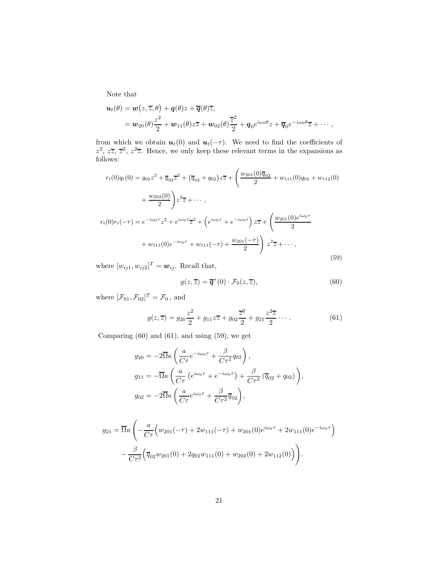Note that

$$
\begin{split} \boldsymbol{u}_t(\theta) &= \boldsymbol{w}\big(z,\overline{z},\theta\big) + \boldsymbol{q}(\theta)z + \overline{\boldsymbol{q}}(\theta)\overline{z}, \\ &= \boldsymbol{w}_{20}(\theta)\frac{z^2}{2} + \boldsymbol{w}_{11}(\theta)z\overline{z} + \boldsymbol{w}_{02}(\theta)\frac{\overline{z}^2}{2} + \boldsymbol{q}_0e^{i\omega_0\theta}z + \overline{\boldsymbol{q}}_0e^{-i\omega_0\theta}\overline{z} + \cdots, \end{split}
$$

from which we obtain  $u_t(0)$  and  $u_t(-\tau)$ . We need to find the coefficients of  $z^2$ ,  $z\overline{z}$ ,  $\overline{z}^2$ ,  $z^2\overline{z}$ . Hence, we only keep these relevant terms in the expansions as follows:

$$
r_t(0)q_t(0) = q_{02}z^2 + \overline{q}_{02}\overline{z}^2 + (\overline{q}_{02} + q_{02})z\overline{z} + \left(\frac{w_{201}(0)\overline{q}_{02}}{2} + w_{111}(0)q_{02} + w_{112}(0) + \frac{w_{202}(0)}{2}\right)z^2\overline{z} + \cdots,
$$
  

$$
r_t(0)r_t(-\tau) = e^{-i\omega_0\tau}z^2 + e^{i\omega_0\tau}\overline{z}^2 + \left(e^{i\omega_0\tau} + e^{-i\omega_0\tau}\right)z\overline{z} + \left(\frac{w_{201}(0)e^{i\omega_0\tau}}{2} + w_{111}(0)e^{-i\omega_0\tau} + w_{111}(-\tau) + \frac{w_{201}(-\tau)}{2}\right)z^2\overline{z} + \cdots,
$$
  
(59)

where  $[w_{ij1}, w_{ij2}]^T = \boldsymbol{w}_{ij}$ . Recall that,

$$
g(z,\overline{z}) = \overline{\mathbf{q}}^*(0) \cdot \mathcal{F}_0(z,\overline{z}),\tag{60}
$$

where  $[\mathcal{F}_{01}, \mathcal{F}_{02}]^T = \mathcal{F}_0$ , and

$$
g(z,\overline{z}) = g_{20}\frac{z^2}{2} + g_{11}z\overline{z} + g_{02}\frac{\overline{z}^2}{2} + g_{21}\frac{z^2\overline{z}}{2} \cdots
$$
 (61)

Comparing (60) and (61), and using (59), we get

$$
g_{20} = -2\overline{\Omega}\kappa \left(\frac{a}{C\tau}e^{-i\omega_0\tau} + \frac{\beta}{C\tau^2}q_{02}\right),
$$
  
\n
$$
g_{11} = -\overline{\Omega}\kappa \left(\frac{a}{C\tau}\left(e^{i\omega_0\tau} + e^{-i\omega_0\tau}\right) + \frac{\beta}{C\tau^2}\left(\overline{q}_{02} + q_{02}\right)\right),
$$
  
\n
$$
g_{02} = -2\overline{\Omega}\kappa \left(\frac{a}{C\tau}e^{i\omega_0\tau} + \frac{\beta}{C\tau^2}\overline{q}_{02}\right),
$$

$$
g_{21} = \overline{\Omega}\kappa \left( -\frac{a}{C\tau} \Big( w_{201}(-\tau) + 2w_{111}(-\tau) + w_{201}(0)e^{i\omega_0\tau} + 2w_{111}(0)e^{-i\omega_0\tau} \Big) - \frac{\beta}{C\tau^2} \Big( \overline{q}_{02}w_{201}(0) + 2q_{02}w_{111}(0) + w_{202}(0) + 2w_{112}(0) \Big) \right).
$$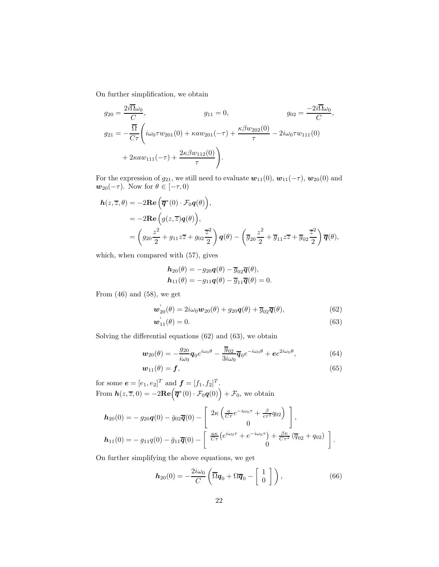On further simplification, we obtain

$$
g_{20} = \frac{2i\overline{\Omega}\omega_0}{C}, \qquad g_{11} = 0, \qquad g_{02} = \frac{-2i\overline{\Omega}\omega_0}{C},
$$
  
\n
$$
g_{21} = -\frac{\overline{\Omega}}{C\tau} \left( i\omega_0 \tau w_{201}(0) + \kappa a w_{201}(-\tau) + \frac{\kappa \beta w_{202}(0)}{\tau} - 2i\omega_0 \tau w_{111}(0) + 2\kappa a w_{111}(-\tau) + \frac{2\kappa \beta w_{112}(0)}{\tau} \right).
$$

For the expression of  $g_{21}$ , we still need to evaluate  $w_{11}(0), w_{11}(-\tau), w_{20}(0)$  and  $\mathbf{w}_{20}(-\tau)$ . Now for  $\theta \in [-\tau, 0)$ 

$$
\begin{split} \mathbf{h}(z,\overline{z},\theta) &= -2\mathbf{Re}\left(\overline{\mathbf{q}}^*(0) \cdot \mathcal{F}_0 \mathbf{q}(\theta)\right), \\ &= -2\mathbf{Re}\left(g(z,\overline{z})\mathbf{q}(\theta)\right), \\ &= \left(g_{20}\frac{z^2}{2} + g_{11}z\overline{z} + g_{02}\frac{\overline{z}^2}{2}\right)\mathbf{q}(\theta) - \left(\overline{g}_{20}\frac{z^2}{2} + \overline{g}_{11}z\overline{z} + \overline{g}_{02}\frac{\overline{z}^2}{2}\right)\overline{\mathbf{q}}(\theta), \end{split}
$$

which, when compared with (57), gives

$$
\begin{aligned} \mathbf{h}_{20}(\theta) &= -g_{20}\mathbf{q}(\theta) - \overline{g}_{02}\overline{\mathbf{q}}(\theta), \\ \mathbf{h}_{11}(\theta) &= -g_{11}\mathbf{q}(\theta) - \overline{g}_{11}\overline{\mathbf{q}}(\theta) = 0. \end{aligned}
$$

From  $(46)$  and  $(58)$ , we get

$$
\boldsymbol{w}_{20}^{'}(\theta) = 2i\omega_0 \boldsymbol{w}_{20}(\theta) + g_{20}\boldsymbol{q}(\theta) + \overline{g}_{02}\overline{\boldsymbol{q}}(\theta), \qquad (62)
$$

$$
\mathbf{w}_{11}(\theta) = 0. \tag{63}
$$

Solving the differential equations (62) and (63), we obtain

$$
\boldsymbol{w}_{20}(\theta) = -\frac{g_{20}}{i\omega_0}\boldsymbol{q}_0 e^{i\omega_0\theta} - \frac{\overline{g}_{02}}{3i\omega_0}\overline{\boldsymbol{q}}_0 e^{-i\omega_0\theta} + e^{2i\omega_0\theta},\tag{64}
$$

$$
\mathbf{w}_{11}(\theta) = \mathbf{f},\tag{65}
$$

for some  $e = [e_1, e_2]^T$  and  $f = [f_1, f_2]^T$ . From  $h(z,\overline{z},0) = -2\textbf{Re}(\overline{\boldsymbol{q}}^*(0)\cdot \mathcal{F}_0\boldsymbol{q}(0)) + \mathcal{F}_0$ , we obtain

$$
\boldsymbol{h}_{20}(0) = -g_{20}\boldsymbol{q}(0) - \bar{g}_{02}\overline{\boldsymbol{q}}(0) - \begin{bmatrix} 2\kappa \left(\frac{a}{C\tau}e^{-i\omega_0\tau} + \frac{\beta}{c\tau^2}q_{02}\right) \\ 0 \end{bmatrix},
$$

$$
\boldsymbol{h}_{11}(0) = -g_{11}\boldsymbol{q}(0) - \bar{g}_{11}\overline{\boldsymbol{q}}(0) - \begin{bmatrix} \frac{a\kappa}{C\tau}(e^{i\omega_0\tau} + e^{-i\omega_0\tau}) + \frac{\beta\kappa}{C\tau^2}(\overline{q}_{02} + q_{02}) \\ 0 \end{bmatrix}.
$$

On further simplifying the above equations, we get

$$
\boldsymbol{h}_{20}(0) = -\frac{2i\omega_0}{C} \left( \overline{\Omega} \boldsymbol{q}_0 + \Omega \overline{\boldsymbol{q}}_0 - \begin{bmatrix} 1 \\ 0 \end{bmatrix} \right), \qquad (66)
$$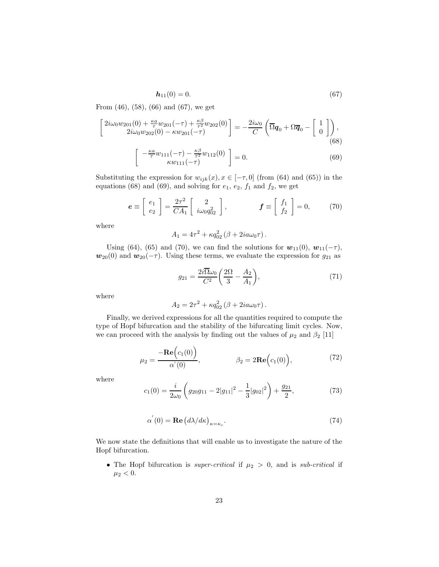$$
h_{11}(0) = 0.\t\t(67)
$$

From (46), (58), (66) and (67), we get

$$
\begin{bmatrix}\n2i\omega_0 w_{201}(0) + \frac{\kappa a}{\tau} w_{201}(-\tau) + \frac{\kappa \beta}{\tau^2} w_{202}(0) \\
2i\omega_0 w_{202}(0) - \kappa w_{201}(-\tau)\n\end{bmatrix} = -\frac{2i\omega_0}{C} \left( \overline{\Omega} \mathbf{q}_0 + \Omega \overline{\mathbf{q}}_0 - \begin{bmatrix} 1 \\ 0 \end{bmatrix} \right),
$$
\n(68)

$$
-\frac{\kappa a}{\tau}w_{111}(-\tau) - \frac{\kappa \beta}{\tau^2}w_{112}(0) \bigg] = 0.
$$
 (69)

Substituting the expression for  $w_{ijk}(x), x \in [-\tau, 0]$  (from (64) and (65)) in the equations (68) and (69), and solving for  $e_1$ ,  $e_2$ ,  $f_1$  and  $f_2$ , we get

$$
\boldsymbol{e} \equiv \begin{bmatrix} e_1 \\ e_2 \end{bmatrix} = \frac{2\tau^2}{CA_1} \begin{bmatrix} 2 \\ i\omega_0 q_{02}^2 \end{bmatrix}, \qquad \boldsymbol{f} \equiv \begin{bmatrix} f_1 \\ f_2 \end{bmatrix} = 0, \qquad (70)
$$

where

$$
A_1 = 4\tau^2 + \kappa q_{02}^2 \left(\beta + 2ia\omega_0 \tau\right).
$$

Using (64), (65) and (70), we can find the solutions for  $w_{11}(0)$ ,  $w_{11}(-\tau)$ ,  $w_{20}(0)$  and  $w_{20}(-\tau)$ . Using these terms, we evaluate the expression for  $g_{21}$  as

$$
g_{21} = \frac{2i\overline{\Omega}\omega_0}{C^2} \left(\frac{2\Omega}{3} - \frac{A_2}{A_1}\right),\tag{71}
$$

where

$$
A_2 = 2\tau^2 + \kappa q_{02}^2 \left(\beta + 2ia\omega_0 \tau\right).
$$

Finally, we derived expressions for all the quantities required to compute the type of Hopf bifurcation and the stability of the bifurcating limit cycles. Now, we can proceed with the analysis by finding out the values of  $\mu_2$  and  $\beta_2$  [11]

$$
\mu_2 = \frac{-\mathbf{Re}\Big(c_1(0)\Big)}{\alpha'(0)}, \qquad \beta_2 = 2\mathbf{Re}\Big(c_1(0)\Big), \qquad (72)
$$

where

$$
c_1(0) = \frac{i}{2\omega_0} \left( g_{20}g_{11} - 2|g_{11}|^2 - \frac{1}{3}|g_{02}|^2 \right) + \frac{g_{21}}{2},\tag{73}
$$

$$
\alpha^{'}(0) = \mathbf{Re}\left(d\lambda/d\kappa\right)_{\kappa = \kappa_c}.\tag{74}
$$

We now state the definitions that will enable us to investigate the nature of the Hopf bifurcation.

• The Hopf bifurcation is *super-critical* if  $\mu_2 > 0$ , and is *sub-critical* if  $\mu_2<0.$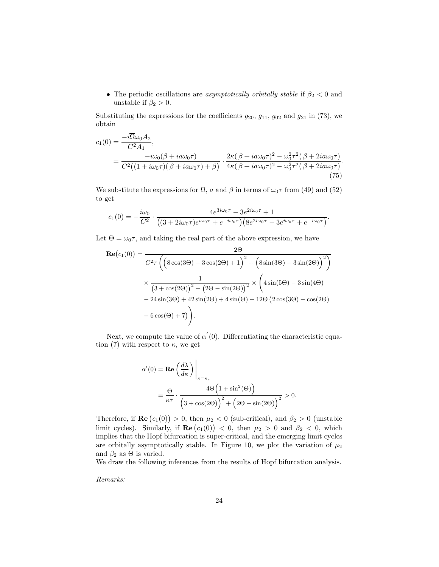• The periodic oscillations are *asymptotically orbitally stable* if  $\beta_2 < 0$  and unstable if  $\beta_2 > 0$ .

Substituting the expressions for the coefficients  $g_{20}$ ,  $g_{11}$ ,  $g_{02}$  and  $g_{21}$  in (73), we obtain

$$
c_1(0) = \frac{-i\overline{\Omega}\omega_0 A_2}{C^2 A_1},
$$
  
= 
$$
\frac{-i\omega_0(\beta + i a\omega_0 \tau)}{C^2 \left( (1 + i\omega_0 \tau)(\beta + i a\omega_0 \tau) + \beta \right)} \cdot \frac{2\kappa(\beta + i a\omega_0 \tau)^2 - \omega_0^2 \tau^2 (\beta + 2i a\omega_0 \tau)}{4\kappa(\beta + i a\omega_0 \tau)^2 - \omega_0^2 \tau^2 (\beta + 2i a\omega_0 \tau)}.
$$
(75)

We substitute the expressions for  $\Omega$ , a and  $\beta$  in terms of  $\omega_0 \tau$  from (49) and (52) to get

$$
c_1(0) = -\frac{i\omega_0}{C^2} \cdot \frac{4e^{3i\omega_0\tau} - 3e^{2i\omega_0\tau} + 1}{\left( (3 + 2i\omega_0\tau)e^{i\omega_0\tau} + e^{-i\omega_0\tau} \right) \left( 8e^{2i\omega_0\tau} - 3e^{i\omega_0\tau} + e^{-i\omega_0\tau} \right)}.
$$

Let  $\Theta = \omega_0 \tau$ , and taking the real part of the above expression, we have

$$
\begin{split} \mathbf{Re}(c_{1}(0)) &= \frac{2\Theta}{C^{2}\tau \left( \left( 8\cos(3\Theta) - 3\cos(2\Theta) + 1 \right)^{2} + \left( 8\sin(3\Theta) - 3\sin(2\Theta) \right)^{2} \right)} \\ &\times \frac{1}{\left( 3 + \cos(2\Theta) \right)^{2} + \left( 2\Theta - \sin(2\Theta) \right)^{2}} \times \left( 4\sin(5\Theta) - 3\sin(4\Theta) \\ &- 24\sin(3\Theta) + 42\sin(2\Theta) + 4\sin(\Theta) - 12\Theta \left( 2\cos(3\Theta) - \cos(2\Theta) \right) \\ &- 6\cos(\Theta) + 7 \right). \end{split}
$$

Next, we compute the value of  $\alpha'(0)$ . Differentiating the characteristic equation (7) with respect to  $\kappa$ , we get

$$
\alpha'(0) = \mathbf{Re}\left(\frac{d\lambda}{d\kappa}\right)\Big|_{\kappa = \kappa_c}
$$
  
= 
$$
\frac{\Theta}{\kappa \tau} \cdot \frac{4\Theta\Big(1 + \sin^2(\Theta)\Big)}{\Big(3 + \cos(2\Theta)\Big)^2 + \Big(2\Theta - \sin(2\Theta)\Big)^2} > 0.
$$

Therefore, if  $\text{Re}(c_1(0)) > 0$ , then  $\mu_2 < 0$  (sub-critical), and  $\beta_2 > 0$  (unstable limit cycles). Similarly, if  $\text{Re}(c_1(0)) < 0$ , then  $\mu_2 > 0$  and  $\beta_2 < 0$ , which implies that the Hopf bifurcation is super-critical, and the emerging limit cycles are orbitally asymptotically stable. In Figure 10, we plot the variation of  $\mu_2$ and  $\beta_2$  as  $\Theta$  is varied.

We draw the following inferences from the results of Hopf bifurcation analysis.

*Remarks:*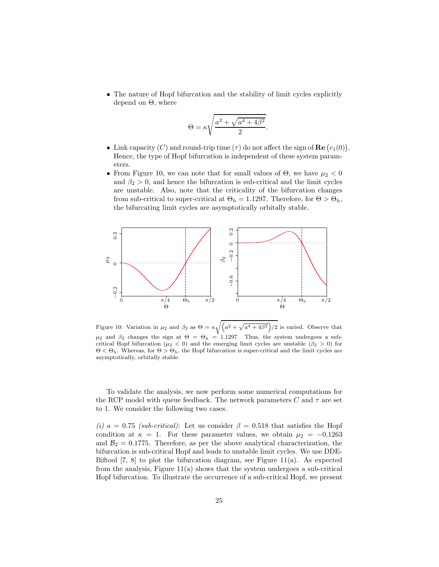• The nature of Hopf bifurcation and the stability of limit cycles explicitly depend on Θ, where

$$
\Theta = \kappa \sqrt{\frac{a^2 + \sqrt{a^4 + 4\beta^2}}{2}}
$$

.

- Link capacity (C) and round-trip time  $(\tau)$  do not affect the sign of **Re**  $(c_1(0))$ . Hence, the type of Hopf bifurcation is independent of these system parameters.
- From Figure 10, we can note that for small values of  $\Theta$ , we have  $\mu_2 < 0$ and  $\beta_2 > 0$ , and hence the bifurcation is sub-critical and the limit cycles are unstable. Also, note that the criticality of the bifurcation changes from sub-critical to super-critical at  $\Theta_h = 1.1297$ . Therefore, for  $\Theta > \Theta_h$ , the bifurcating limit cycles are asymptotically orbitally stable.



Figure 10: Variation in  $\mu_2$  and  $\beta_2$  as  $\Theta = \kappa \sqrt{\left(a^2 + \sqrt{a^4 + 4\beta^2}\right)/2}$  is varied. Observe that  $\mu_2$  and  $\beta_2$  changes the sign at  $\Theta = \Theta_h = 1.1297$ . Thus, the system undergoes a subcritical Hopf bifurcation ( $\mu_2 < 0$ ) and the emerging limit cycles are unstable ( $\beta_2 > 0$ ) for  $\Theta < \Theta_h$ . Whereas, for  $\Theta > \Theta_h$ , the Hopf bifurcation is super-critical and the limit cycles are asymptotically, orbitally stable.

To validate the analysis, we now perform some numerical computations for the RCP model with queue feedback. The network parameters C and  $\tau$  are set to 1. We consider the following two cases.

*(i)*  $a = 0.75$  *(sub-critical)*: Let us consider  $\beta = 0.518$  that satisfies the Hopf condition at  $\kappa = 1$ . For these parameter values, we obtain  $\mu_2 = -0.1263$ and  $\mathcal{B}_2 = 0.1775$ . Therefore, as per the above analytical characterization, the bifurcation is sub-critical Hopf and leads to unstable limit cycles. We use DDE-Biftool [7, 8] to plot the bifurcation diagram, see Figure 11(a). As expected from the analysis, Figure  $11(a)$  shows that the system undergoes a sub-critical Hopf bifurcation. To illustrate the occurrence of a sub-critical Hopf, we present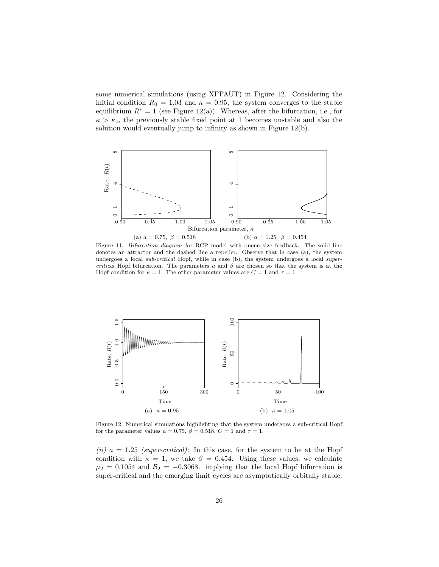some numerical simulations (using XPPAUT) in Figure 12. Considering the initial condition  $R_0 = 1.03$  and  $\kappa = 0.95$ , the system converges to the stable equilibrium  $R^* = 1$  (see Figure 12(a)). Whereas, after the bifurcation, i.e., for  $\kappa > \kappa_c$ , the previously stable fixed point at 1 becomes unstable and also the solution would eventually jump to infinity as shown in Figure 12(b).



Figure 11: Bifurcation diagram for RCP model with queue size feedback. The solid line denotes an attractor and the dashed line a repeller. Observe that in case (a), the system undergoes a local *sub-critical* Hopf, while in case (b), the system undergoes a local *super*critical Hopf bifurcation. The parameters a and  $\beta$  are chosen so that the system is at the Hopf condition for  $\kappa = 1$ . The other parameter values are  $C = 1$  and  $\tau = 1$ .



Figure 12: Numerical simulations highlighting that the system undergoes a sub-critical Hopf for the parameter values  $a = 0.75$ ,  $\beta = 0.518$ ,  $C = 1$  and  $\tau = 1$ .

*(ii)*  $a = 1.25$  *(super-critical)*: In this case, for the system to be at the Hopf condition with  $\kappa = 1$ , we take  $\beta = 0.454$ . Using these values, we calculate  $\mu_2 = 0.1054$  and  $\mathcal{B}_2 = -0.3068$ . implying that the local Hopf bifurcation is super-critical and the emerging limit cycles are asymptotically orbitally stable.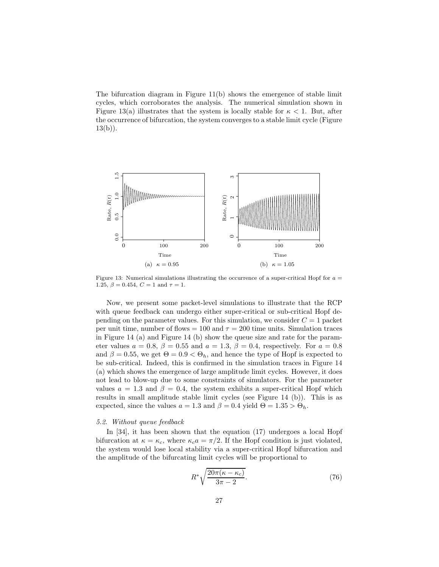The bifurcation diagram in Figure 11(b) shows the emergence of stable limit cycles, which corroborates the analysis. The numerical simulation shown in Figure 13(a) illustrates that the system is locally stable for  $\kappa < 1$ . But, after the occurrence of bifurcation, the system converges to a stable limit cycle (Figure  $13(b)$ ).



Figure 13: Numerical simulations illustrating the occurrence of a super-critical Hopf for  $a =$ 1.25,  $\beta = 0.454$ ,  $C = 1$  and  $\tau = 1$ .

Now, we present some packet-level simulations to illustrate that the RCP with queue feedback can undergo either super-critical or sub-critical Hopf depending on the parameter values. For this simulation, we consider  $C = 1$  packet per unit time, number of flows = 100 and  $\tau = 200$  time units. Simulation traces in Figure 14 (a) and Figure 14 (b) show the queue size and rate for the parameter values  $a = 0.8$ ,  $\beta = 0.55$  and  $a = 1.3$ ,  $\beta = 0.4$ , respectively. For  $a = 0.8$ and  $\beta = 0.55$ , we get  $\Theta = 0.9 < \Theta_h$ , and hence the type of Hopf is expected to be sub-critical. Indeed, this is confirmed in the simulation traces in Figure 14 (a) which shows the emergence of large amplitude limit cycles. However, it does not lead to blow-up due to some constraints of simulators. For the parameter values  $a = 1.3$  and  $\beta = 0.4$ , the system exhibits a super-critical Hopf which results in small amplitude stable limit cycles (see Figure 14 (b)). This is as expected, since the values  $a = 1.3$  and  $\beta = 0.4$  yield  $\Theta = 1.35 > \Theta_h$ .

## *5.2. Without queue feedback*

In [34], it has been shown that the equation (17) undergoes a local Hopf bifurcation at  $\kappa = \kappa_c$ , where  $\kappa_c a = \pi/2$ . If the Hopf condition is just violated, the system would lose local stability via a super-critical Hopf bifurcation and the amplitude of the bifurcating limit cycles will be proportional to

$$
R^* \sqrt{\frac{20\pi(\kappa - \kappa_c)}{3\pi - 2}}.\t(76)
$$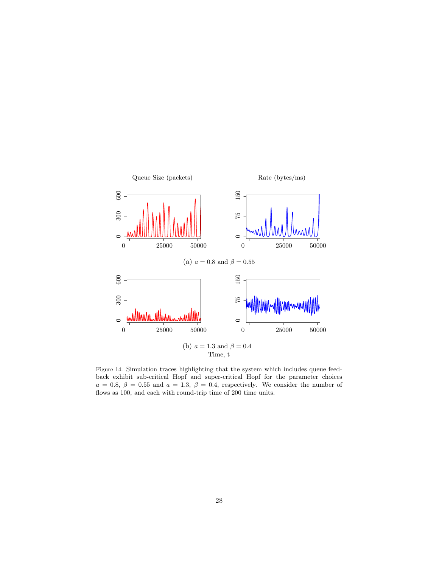

Figure 14: Simulation traces highlighting that the system which includes queue feedback exhibit sub-critical Hopf and super-critical Hopf for the parameter choices  $a = 0.8, \ \beta = 0.55 \ \text{and} \ a = 1.3, \ \beta = 0.4$ , respectively. We consider the number of flows as 100, and each with round-trip time of 200 time units.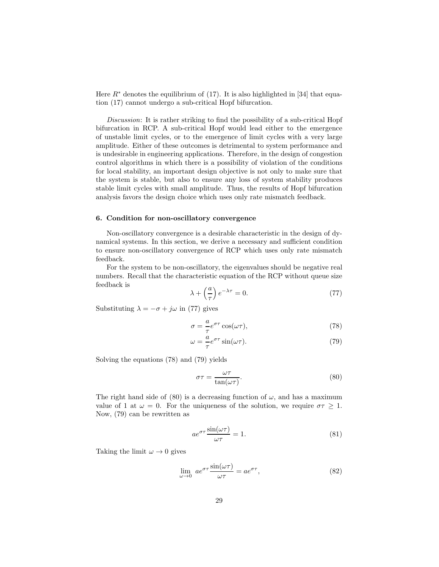Here  $R^*$  denotes the equilibrium of (17). It is also highlighted in [34] that equation (17) cannot undergo a sub-critical Hopf bifurcation.

*Discussion*: It is rather striking to find the possibility of a sub-critical Hopf bifurcation in RCP. A sub-critical Hopf would lead either to the emergence of unstable limit cycles, or to the emergence of limit cycles with a very large amplitude. Either of these outcomes is detrimental to system performance and is undesirable in engineering applications. Therefore, in the design of congestion control algorithms in which there is a possibility of violation of the conditions for local stability, an important design objective is not only to make sure that the system is stable, but also to ensure any loss of system stability produces stable limit cycles with small amplitude. Thus, the results of Hopf bifurcation analysis favors the design choice which uses only rate mismatch feedback.

#### 6. Condition for non-oscillatory convergence

Non-oscillatory convergence is a desirable characteristic in the design of dynamical systems. In this section, we derive a necessary and sufficient condition to ensure non-oscillatory convergence of RCP which uses only rate mismatch feedback.

For the system to be non-oscillatory, the eigenvalues should be negative real numbers. Recall that the characteristic equation of the RCP without queue size feedback is

$$
\lambda + \left(\frac{a}{\tau}\right)e^{-\lambda \tau} = 0. \tag{77}
$$

Substituting  $\lambda = -\sigma + j\omega$  in (77) gives

$$
\sigma = -\frac{a}{\tau} e^{\sigma \tau} \cos(\omega \tau),\tag{78}
$$

$$
\omega = -\frac{a}{\tau} e^{\sigma \tau} \sin(\omega \tau). \tag{79}
$$

Solving the equations (78) and (79) yields

$$
\sigma \tau = \frac{\omega \tau}{\tan(\omega \tau)}.
$$
\n(80)

The right hand side of (80) is a decreasing function of  $\omega$ , and has a maximum value of 1 at  $\omega = 0$ . For the uniqueness of the solution, we require  $\sigma \tau \geq 1$ . Now, (79) can be rewritten as

$$
ae^{\sigma\tau}\frac{\sin(\omega\tau)}{\omega\tau} = 1.
$$
 (81)

Taking the limit  $\omega \rightarrow 0$  gives

$$
\lim_{\omega \to 0} a e^{\sigma \tau} \frac{\sin(\omega \tau)}{\omega \tau} = a e^{\sigma \tau},
$$
\n(82)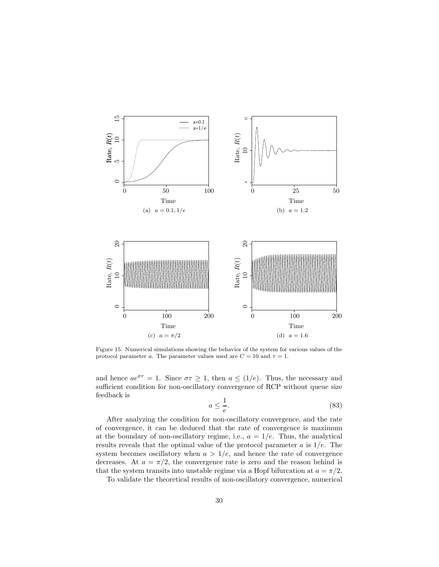

Figure 15: Numerical simulations showing the behavior of the system for various values of the protocol parameter a. The parameter values used are  $C = 10$  and  $\tau = 1$ .

and hence  $ae^{\sigma\tau} = 1$ . Since  $\sigma\tau \geq 1$ , then  $a \leq (1/e)$ . Thus, the necessary and sufficient condition for non-oscillatory convergence of RCP without queue size feedback is

$$
a \le \frac{1}{e}.\tag{83}
$$

After analyzing the condition for non-oscillatory convergence, and the rate of convergence, it can be deduced that the rate of convergence is maximum at the boundary of non-oscillatory regime, i.e.,  $a = 1/e$ . Thus, the analytical results reveals that the optimal value of the protocol parameter  $a$  is  $1/e$ . The system becomes oscillatory when  $a > 1/e$ , and hence the rate of convergence decreases. At  $a = \pi/2$ , the convergence rate is zero and the reason behind is that the system transits into unstable regime via a Hopf bifurcation at  $a = \pi/2$ .

To validate the theoretical results of non-oscillatory convergence, numerical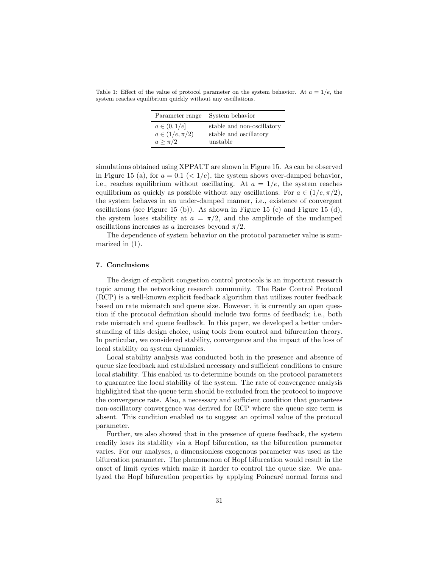Table 1: Effect of the value of protocol parameter on the system behavior. At  $a = 1/e$ , the system reaches equilibrium quickly without any oscillations.

| Parameter range      | System behavior            |
|----------------------|----------------------------|
| $a \in (0,1/e]$      | stable and non-oscillatory |
| $a \in (1/e, \pi/2)$ | stable and oscillatory     |
| $a \geq \pi/2$       | unstable                   |

simulations obtained using XPPAUT are shown in Figure 15. As can be observed in Figure 15 (a), for  $a = 0.1$  ( $\lt 1/e$ ), the system shows over-damped behavior, i.e., reaches equilibrium without oscillating. At  $a = 1/e$ , the system reaches equilibrium as quickly as possible without any oscillations. For  $a \in (1/e, \pi/2)$ , the system behaves in an under-damped manner, i.e., existence of convergent oscillations (see Figure 15 (b)). As shown in Figure 15 (c) and Figure 15 (d), the system loses stability at  $a = \pi/2$ , and the amplitude of the undamped oscillations increases as a increases beyond  $\pi/2$ .

The dependence of system behavior on the protocol parameter value is summarized in (1).

## 7. Conclusions

The design of explicit congestion control protocols is an important research topic among the networking research community. The Rate Control Protocol (RCP) is a well-known explicit feedback algorithm that utilizes router feedback based on rate mismatch and queue size. However, it is currently an open question if the protocol definition should include two forms of feedback; i.e., both rate mismatch and queue feedback. In this paper, we developed a better understanding of this design choice, using tools from control and bifurcation theory. In particular, we considered stability, convergence and the impact of the loss of local stability on system dynamics.

Local stability analysis was conducted both in the presence and absence of queue size feedback and established necessary and sufficient conditions to ensure local stability. This enabled us to determine bounds on the protocol parameters to guarantee the local stability of the system. The rate of convergence analysis highlighted that the queue term should be excluded from the protocol to improve the convergence rate. Also, a necessary and sufficient condition that guarantees non-oscillatory convergence was derived for RCP where the queue size term is absent. This condition enabled us to suggest an optimal value of the protocol parameter.

Further, we also showed that in the presence of queue feedback, the system readily loses its stability via a Hopf bifurcation, as the bifurcation parameter varies. For our analyses, a dimensionless exogenous parameter was used as the bifurcation parameter. The phenomenon of Hopf bifurcation would result in the onset of limit cycles which make it harder to control the queue size. We analyzed the Hopf bifurcation properties by applying Poincaré normal forms and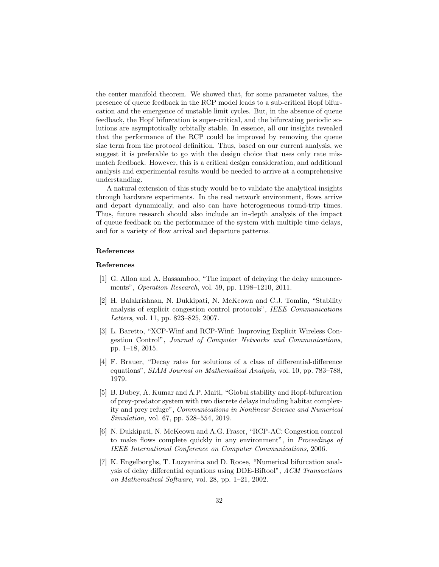the center manifold theorem. We showed that, for some parameter values, the presence of queue feedback in the RCP model leads to a sub-critical Hopf bifurcation and the emergence of unstable limit cycles. But, in the absence of queue feedback, the Hopf bifurcation is super-critical, and the bifurcating periodic solutions are asymptotically orbitally stable. In essence, all our insights revealed that the performance of the RCP could be improved by removing the queue size term from the protocol definition. Thus, based on our current analysis, we suggest it is preferable to go with the design choice that uses only rate mismatch feedback. However, this is a critical design consideration, and additional analysis and experimental results would be needed to arrive at a comprehensive understanding.

A natural extension of this study would be to validate the analytical insights through hardware experiments. In the real network environment, flows arrive and depart dynamically, and also can have heterogeneous round-trip times. Thus, future research should also include an in-depth analysis of the impact of queue feedback on the performance of the system with multiple time delays, and for a variety of flow arrival and departure patterns.

## References

## References

- [1] G. Allon and A. Bassamboo, "The impact of delaying the delay announcements", *Operation Research*, vol. 59, pp. 1198–1210, 2011.
- [2] H. Balakrishnan, N. Dukkipati, N. McKeown and C.J. Tomlin, "Stability analysis of explicit congestion control protocols", *IEEE Communications Letters*, vol. 11, pp. 823–825, 2007.
- [3] L. Baretto, "XCP-Winf and RCP-Winf: Improving Explicit Wireless Congestion Control", *Journal of Computer Networks and Communications*, pp. 1–18, 2015.
- [4] F. Brauer, "Decay rates for solutions of a class of differential-difference equations", *SIAM Journal on Mathematical Analysis*, vol. 10, pp. 783–788, 1979.
- [5] B. Dubey, A. Kumar and A.P. Maiti, "Global stability and Hopf-bifurcation of prey-predator system with two discrete delays including habitat complexity and prey refuge", *Communications in Nonlinear Science and Numerical Simulation,* vol. 67, pp. 528–554, 2019.
- [6] N. Dukkipati, N. McKeown and A.G. Fraser, "RCP-AC: Congestion control to make flows complete quickly in any environment", in *Proceedings of IEEE International Conference on Computer Communications*, 2006.
- [7] K. Engelborghs, T. Luzyanina and D. Roose, "Numerical bifurcation analysis of delay differential equations using DDE-Biftool", *ACM Transactions on Mathematical Software*, vol. 28, pp. 1–21, 2002.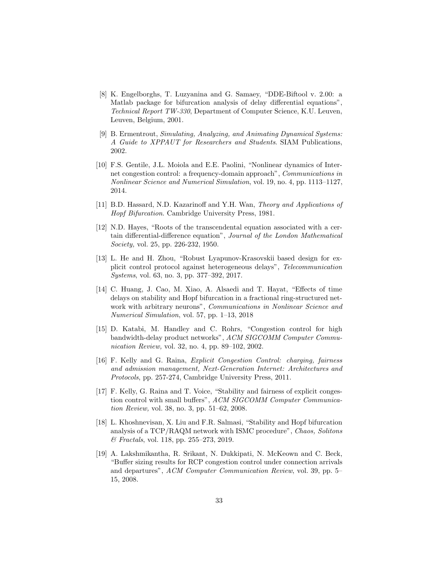- [8] K. Engelborghs, T. Luzyanina and G. Samaey, "DDE-Biftool v. 2.00: a Matlab package for bifurcation analysis of delay differential equations", *Technical Report TW-330*, Department of Computer Science, K.U. Leuven, Leuven, Belgium, 2001.
- [9] B. Ermentrout, *Simulating, Analyzing, and Animating Dynamical Systems: A Guide to XPPAUT for Researchers and Students*. SIAM Publications, 2002.
- [10] F.S. Gentile, J.L. Moiola and E.E. Paolini, "Nonlinear dynamics of Internet congestion control: a frequency-domain approach", *Communications in Nonlinear Science and Numerical Simulation*, vol. 19, no. 4, pp. 1113–1127, 2014.
- [11] B.D. Hassard, N.D. Kazarinoff and Y.H. Wan, *Theory and Applications of Hopf Bifurcation*. Cambridge University Press, 1981.
- [12] N.D. Hayes, "Roots of the transcendental equation associated with a certain differential-difference equation", *Journal of the London Mathematical Society,* vol. 25, pp. 226-232, 1950.
- [13] L. He and H. Zhou, "Robust Lyapunov-Krasovskii based design for explicit control protocol against heterogeneous delays", *Telecommunication Systems*, vol. 63, no. 3, pp. 377–392, 2017.
- [14] C. Huang, J. Cao, M. Xiao, A. Alsaedi and T. Hayat, "Effects of time delays on stability and Hopf bifurcation in a fractional ring-structured network with arbitrary neurons", *Communications in Nonlinear Science and Numerical Simulation*, vol. 57, pp. 1–13, 2018
- [15] D. Katabi, M. Handley and C. Rohrs, "Congestion control for high bandwidth-delay product networks", *ACM SIGCOMM Computer Communication Review,* vol. 32, no. 4, pp. 89–102, 2002.
- [16] F. Kelly and G. Raina, *Explicit Congestion Control: charging, fairness and admission management, Next-Generation Internet: Architectures and Protocols*, pp. 257-274, Cambridge University Press, 2011.
- [17] F. Kelly, G. Raina and T. Voice, "Stability and fairness of explicit congestion control with small buffers", *ACM SIGCOMM Computer Communication Review,* vol. 38, no. 3, pp. 51–62, 2008.
- [18] L. Khoshnevisan, X. Liu and F.R. Salmasi, "Stability and Hopf bifurcation analysis of a TCP/RAQM network with ISMC procedure", *Chaos, Solitons & Fractals*, vol. 118, pp. 255–273, 2019.
- [19] A. Lakshmikantha, R. Srikant, N. Dukkipati, N. McKeown and C. Beck, "Buffer sizing results for RCP congestion control under connection arrivals and departures", *ACM Computer Communication Review*, vol. 39, pp. 5– 15, 2008.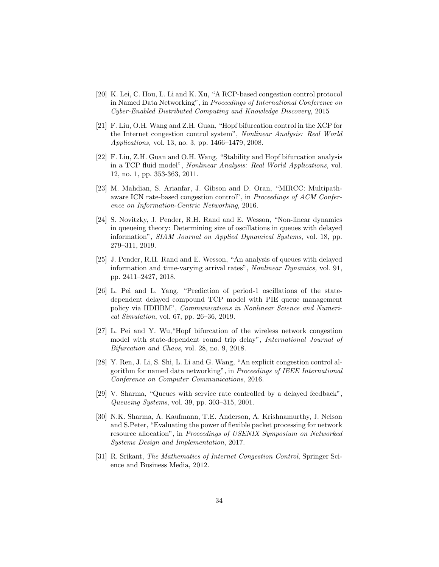- [20] K. Lei, C. Hou, L. Li and K. Xu, "A RCP-based congestion control protocol in Named Data Networking", in *Proceedings of International Conference on Cyber-Enabled Distributed Computing and Knowledge Discovery*, 2015
- [21] F. Liu, O.H. Wang and Z.H. Guan, "Hopf bifurcation control in the XCP for the Internet congestion control system", *Nonlinear Analysis: Real World Applications,* vol. 13, no. 3, pp. 1466–1479, 2008.
- [22] F. Liu, Z.H. Guan and O.H. Wang, "Stability and Hopf bifurcation analysis in a TCP fluid model", *Nonlinear Analysis: Real World Applications*, vol. 12, no. 1, pp. 353-363, 2011.
- [23] M. Mahdian, S. Arianfar, J. Gibson and D. Oran, "MIRCC: Multipathaware ICN rate-based congestion control", in *Proceedings of ACM Conference on Information-Centric Networking*, 2016.
- [24] S. Novitzky, J. Pender, R.H. Rand and E. Wesson, "Non-linear dynamics in queueing theory: Determining size of oscillations in queues with delayed information", *SIAM Journal on Applied Dynamical Systems*, vol. 18, pp. 279–311, 2019.
- [25] J. Pender, R.H. Rand and E. Wesson, "An analysis of queues with delayed information and time-varying arrival rates", *Nonlinear Dynamics,* vol. 91, pp. 2411–2427, 2018.
- [26] L. Pei and L. Yang, "Prediction of period-1 oscillations of the statedependent delayed compound TCP model with PIE queue management policy via HDHBM", *Communications in Nonlinear Science and Numerical Simulation*, vol. 67, pp. 26–36, 2019.
- [27] L. Pei and Y. Wu,"Hopf bifurcation of the wireless network congestion model with state-dependent round trip delay", *International Journal of Bifurcation and Chaos*, vol. 28, no. 9, 2018.
- [28] Y. Ren, J. Li, S. Shi, L. Li and G. Wang, "An explicit congestion control algorithm for named data networking", in *Proceedings of IEEE International Conference on Computer Communications*, 2016.
- [29] V. Sharma, "Queues with service rate controlled by a delayed feedback", *Queueing Systems*, vol. 39, pp. 303–315, 2001.
- [30] N.K. Sharma, A. Kaufmann, T.E. Anderson, A. Krishnamurthy, J. Nelson and S.Peter, "Evaluating the power of flexible packet processing for network resource allocation", in *Proceedings of USENIX Symposium on Networked Systems Design and Implementation*, 2017.
- [31] R. Srikant, *The Mathematics of Internet Congestion Control*, Springer Science and Business Media, 2012.